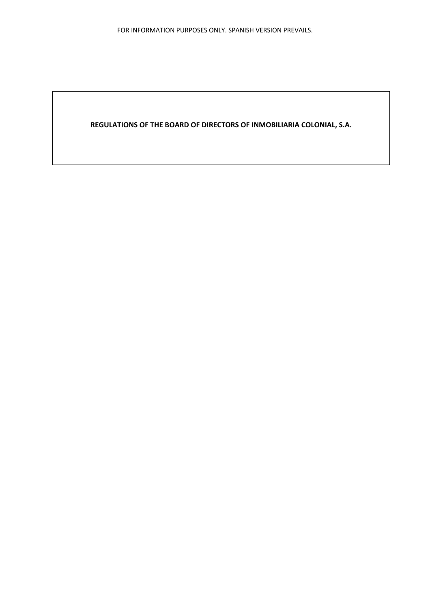**REGULATIONS OF THE BOARD OF DIRECTORS OF INMOBILIARIA COLONIAL, S.A.**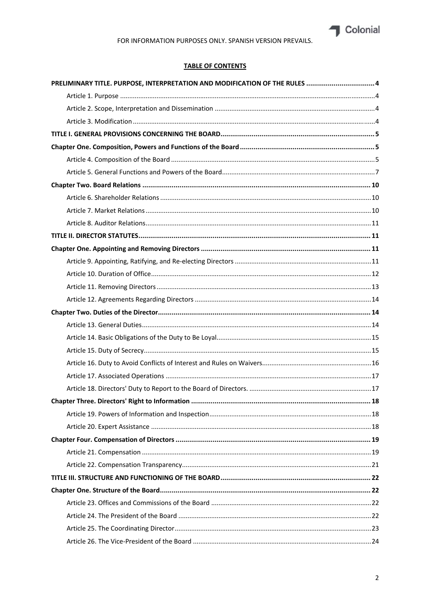

# FOR INFORMATION PURPOSES ONLY. SPANISH VERSION PREVAILS.

## **TABLE OF CONTENTS**

| PRELIMINARY TITLE. PURPOSE, INTERPRETATION AND MODIFICATION OF THE RULES  4 |    |
|-----------------------------------------------------------------------------|----|
|                                                                             |    |
|                                                                             |    |
|                                                                             |    |
|                                                                             |    |
|                                                                             |    |
|                                                                             |    |
|                                                                             |    |
|                                                                             |    |
|                                                                             |    |
|                                                                             |    |
|                                                                             |    |
|                                                                             |    |
|                                                                             |    |
|                                                                             |    |
|                                                                             |    |
|                                                                             |    |
|                                                                             |    |
|                                                                             |    |
|                                                                             |    |
|                                                                             |    |
|                                                                             |    |
|                                                                             |    |
|                                                                             |    |
|                                                                             |    |
|                                                                             | 18 |
|                                                                             |    |
|                                                                             |    |
|                                                                             |    |
|                                                                             |    |
|                                                                             |    |
|                                                                             |    |
|                                                                             |    |
|                                                                             |    |
|                                                                             |    |
|                                                                             |    |
|                                                                             |    |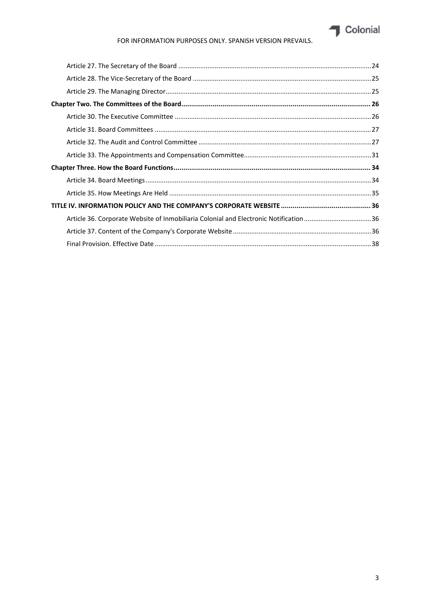

## FOR INFORMATION PURPOSES ONLY. SPANISH VERSION PREVAILS.

|  | Article 36. Corporate Website of Inmobiliaria Colonial and Electronic Notification 36 |  |
|--|---------------------------------------------------------------------------------------|--|
|  |                                                                                       |  |
|  |                                                                                       |  |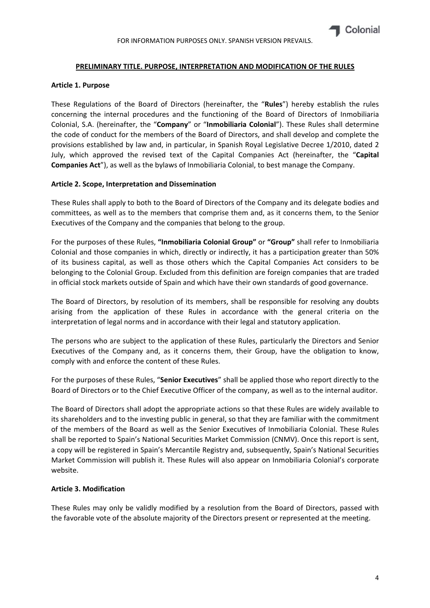#### **PRELIMINARY TITLE. PURPOSE, INTERPRETATION AND MODIFICATION OF THE RULES**

#### **Article 1. Purpose**

These Regulations of the Board of Directors (hereinafter, the "**Rules**") hereby establish the rules concerning the internal procedures and the functioning of the Board of Directors of Inmobiliaria Colonial, S.A. (hereinafter, the "**Company**" or "**Inmobiliaria Colonial**"). These Rules shall determine the code of conduct for the members of the Board of Directors, and shall develop and complete the provisions established by law and, in particular, in Spanish Royal Legislative Decree 1/2010, dated 2 July, which approved the revised text of the Capital Companies Act (hereinafter, the "**Capital Companies Act**"), as well as the bylaws of Inmobiliaria Colonial, to best manage the Company.

#### **Article 2. Scope, Interpretation and Dissemination**

These Rules shall apply to both to the Board of Directors of the Company and its delegate bodies and committees, as well as to the members that comprise them and, as it concerns them, to the Senior Executives of the Company and the companies that belong to the group.

For the purposes of these Rules, **"Inmobiliaria Colonial Group"** or **"Group"** shall refer to Inmobiliaria Colonial and those companies in which, directly or indirectly, it has a participation greater than 50% of its business capital, as well as those others which the Capital Companies Act considers to be belonging to the Colonial Group. Excluded from this definition are foreign companies that are traded in official stock markets outside of Spain and which have their own standards of good governance.

The Board of Directors, by resolution of its members, shall be responsible for resolving any doubts arising from the application of these Rules in accordance with the general criteria on the interpretation of legal norms and in accordance with their legal and statutory application.

The persons who are subject to the application of these Rules, particularly the Directors and Senior Executives of the Company and, as it concerns them, their Group, have the obligation to know, comply with and enforce the content of these Rules.

For the purposes of these Rules, "**Senior Executives**" shall be applied those who report directly to the Board of Directors or to the Chief Executive Officer of the company, as well as to the internal auditor.

The Board of Directors shall adopt the appropriate actions so that these Rules are widely available to its shareholders and to the investing public in general, so that they are familiar with the commitment of the members of the Board as well as the Senior Executives of Inmobiliaria Colonial. These Rules shall be reported to Spain's National Securities Market Commission (CNMV). Once this report is sent, a copy will be registered in Spain's Mercantile Registry and, subsequently, Spain's National Securities Market Commission will publish it. These Rules will also appear on Inmobiliaria Colonial's corporate website.

#### **Article 3. Modification**

These Rules may only be validly modified by a resolution from the Board of Directors, passed with the favorable vote of the absolute majority of the Directors present or represented at the meeting.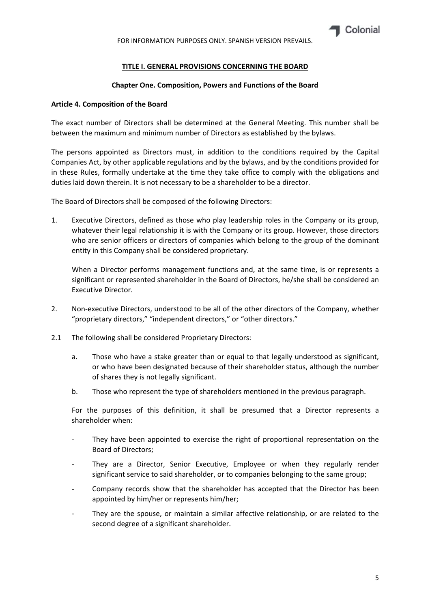

FOR INFORMATION PURPOSES ONLY. SPANISH VERSION PREVAILS.

## **TITLE I. GENERAL PROVISIONS CONCERNING THE BOARD**

#### **Chapter One. Composition, Powers and Functions of the Board**

#### **Article 4. Composition of the Board**

The exact number of Directors shall be determined at the General Meeting. This number shall be between the maximum and minimum number of Directors as established by the bylaws.

The persons appointed as Directors must, in addition to the conditions required by the Capital Companies Act, by other applicable regulations and by the bylaws, and by the conditions provided for in these Rules, formally undertake at the time they take office to comply with the obligations and duties laid down therein. It is not necessary to be a shareholder to be a director.

The Board of Directors shall be composed of the following Directors:

1. Executive Directors, defined as those who play leadership roles in the Company or its group, whatever their legal relationship it is with the Company or its group. However, those directors who are senior officers or directors of companies which belong to the group of the dominant entity in this Company shall be considered proprietary.

When a Director performs management functions and, at the same time, is or represents a significant or represented shareholder in the Board of Directors, he/she shall be considered an Executive Director.

- 2. Non-executive Directors, understood to be all of the other directors of the Company, whether "proprietary directors," "independent directors," or "other directors."
- 2.1 The following shall be considered Proprietary Directors:
	- a. Those who have a stake greater than or equal to that legally understood as significant, or who have been designated because of their shareholder status, although the number of shares they is not legally significant.
	- b. Those who represent the type of shareholders mentioned in the previous paragraph.

For the purposes of this definition, it shall be presumed that a Director represents a shareholder when:

- They have been appointed to exercise the right of proportional representation on the Board of Directors;
- They are a Director, Senior Executive, Employee or when they regularly render significant service to said shareholder, or to companies belonging to the same group;
- ‐ Company records show that the shareholder has accepted that the Director has been appointed by him/her or represents him/her;
- They are the spouse, or maintain a similar affective relationship, or are related to the second degree of a significant shareholder.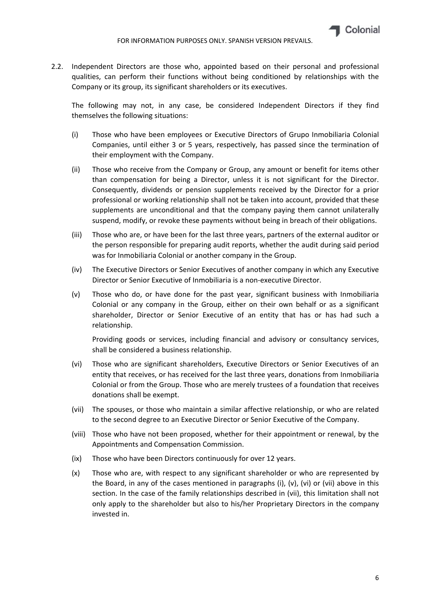

2.2. Independent Directors are those who, appointed based on their personal and professional qualities, can perform their functions without being conditioned by relationships with the Company or its group, its significant shareholders or its executives.

The following may not, in any case, be considered Independent Directors if they find themselves the following situations:

- (i) Those who have been employees or Executive Directors of Grupo Inmobiliaria Colonial Companies, until either 3 or 5 years, respectively, has passed since the termination of their employment with the Company.
- (ii) Those who receive from the Company or Group, any amount or benefit for items other than compensation for being a Director, unless it is not significant for the Director. Consequently, dividends or pension supplements received by the Director for a prior professional or working relationship shall not be taken into account, provided that these supplements are unconditional and that the company paying them cannot unilaterally suspend, modify, or revoke these payments without being in breach of their obligations.
- (iii) Those who are, or have been for the last three years, partners of the external auditor or the person responsible for preparing audit reports, whether the audit during said period was for Inmobiliaria Colonial or another company in the Group.
- (iv) The Executive Directors or Senior Executives of another company in which any Executive Director or Senior Executive of Inmobiliaria is a non‐executive Director.
- (v) Those who do, or have done for the past year, significant business with Inmobiliaria Colonial or any company in the Group, either on their own behalf or as a significant shareholder, Director or Senior Executive of an entity that has or has had such a relationship.

Providing goods or services, including financial and advisory or consultancy services, shall be considered a business relationship.

- (vi) Those who are significant shareholders, Executive Directors or Senior Executives of an entity that receives, or has received for the last three years, donations from Inmobiliaria Colonial or from the Group. Those who are merely trustees of a foundation that receives donations shall be exempt.
- (vii) The spouses, or those who maintain a similar affective relationship, or who are related to the second degree to an Executive Director or Senior Executive of the Company.
- (viii) Those who have not been proposed, whether for their appointment or renewal, by the Appointments and Compensation Commission.
- (ix) Those who have been Directors continuously for over 12 years.
- (x) Those who are, with respect to any significant shareholder or who are represented by the Board, in any of the cases mentioned in paragraphs (i),  $(v)$ ,  $(vi)$  or  $(vii)$  above in this section. In the case of the family relationships described in (vii), this limitation shall not only apply to the shareholder but also to his/her Proprietary Directors in the company invested in.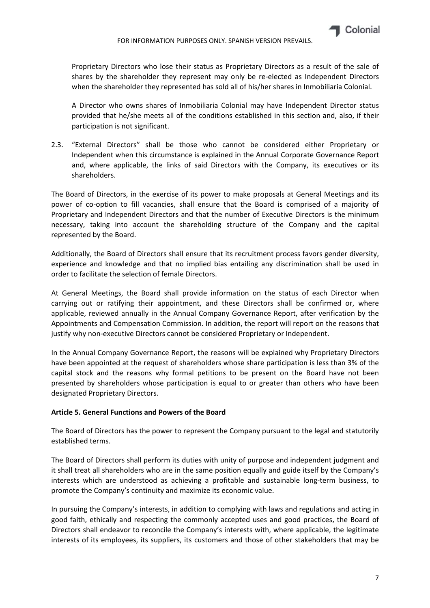

Proprietary Directors who lose their status as Proprietary Directors as a result of the sale of shares by the shareholder they represent may only be re-elected as Independent Directors when the shareholder they represented has sold all of his/her shares in Inmobiliaria Colonial.

A Director who owns shares of Inmobiliaria Colonial may have Independent Director status provided that he/she meets all of the conditions established in this section and, also, if their participation is not significant.

2.3. "External Directors" shall be those who cannot be considered either Proprietary or Independent when this circumstance is explained in the Annual Corporate Governance Report and, where applicable, the links of said Directors with the Company, its executives or its shareholders.

The Board of Directors, in the exercise of its power to make proposals at General Meetings and its power of co-option to fill vacancies, shall ensure that the Board is comprised of a majority of Proprietary and Independent Directors and that the number of Executive Directors is the minimum necessary, taking into account the shareholding structure of the Company and the capital represented by the Board.

Additionally, the Board of Directors shall ensure that its recruitment process favors gender diversity, experience and knowledge and that no implied bias entailing any discrimination shall be used in order to facilitate the selection of female Directors.

At General Meetings, the Board shall provide information on the status of each Director when carrying out or ratifying their appointment, and these Directors shall be confirmed or, where applicable, reviewed annually in the Annual Company Governance Report, after verification by the Appointments and Compensation Commission. In addition, the report will report on the reasons that justify why non‐executive Directors cannot be considered Proprietary or Independent.

In the Annual Company Governance Report, the reasons will be explained why Proprietary Directors have been appointed at the request of shareholders whose share participation is less than 3% of the capital stock and the reasons why formal petitions to be present on the Board have not been presented by shareholders whose participation is equal to or greater than others who have been designated Proprietary Directors.

## **Article 5. General Functions and Powers of the Board**

The Board of Directors has the power to represent the Company pursuant to the legal and statutorily established terms.

The Board of Directors shall perform its duties with unity of purpose and independent judgment and it shall treat all shareholders who are in the same position equally and guide itself by the Company's interests which are understood as achieving a profitable and sustainable long‐term business, to promote the Company's continuity and maximize its economic value.

In pursuing the Company's interests, in addition to complying with laws and regulations and acting in good faith, ethically and respecting the commonly accepted uses and good practices, the Board of Directors shall endeavor to reconcile the Company's interests with, where applicable, the legitimate interests of its employees, its suppliers, its customers and those of other stakeholders that may be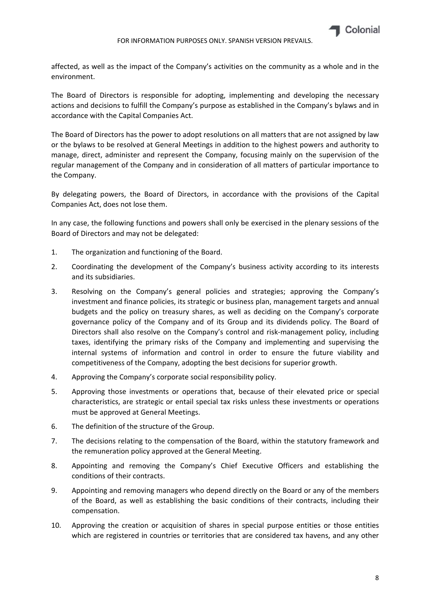

affected, as well as the impact of the Company's activities on the community as a whole and in the environment.

The Board of Directors is responsible for adopting, implementing and developing the necessary actions and decisions to fulfill the Company's purpose as established in the Company's bylaws and in accordance with the Capital Companies Act.

The Board of Directors has the power to adopt resolutions on all matters that are not assigned by law or the bylaws to be resolved at General Meetings in addition to the highest powers and authority to manage, direct, administer and represent the Company, focusing mainly on the supervision of the regular management of the Company and in consideration of all matters of particular importance to the Company.

By delegating powers, the Board of Directors, in accordance with the provisions of the Capital Companies Act, does not lose them.

In any case, the following functions and powers shall only be exercised in the plenary sessions of the Board of Directors and may not be delegated:

- 1. The organization and functioning of the Board.
- 2. Coordinating the development of the Company's business activity according to its interests and its subsidiaries.
- 3. Resolving on the Company's general policies and strategies; approving the Company's investment and finance policies, its strategic or business plan, management targets and annual budgets and the policy on treasury shares, as well as deciding on the Company's corporate governance policy of the Company and of its Group and its dividends policy. The Board of Directors shall also resolve on the Company's control and risk‐management policy, including taxes, identifying the primary risks of the Company and implementing and supervising the internal systems of information and control in order to ensure the future viability and competitiveness of the Company, adopting the best decisions for superior growth.
- 4. Approving the Company's corporate social responsibility policy.
- 5. Approving those investments or operations that, because of their elevated price or special characteristics, are strategic or entail special tax risks unless these investments or operations must be approved at General Meetings.
- 6. The definition of the structure of the Group.
- 7. The decisions relating to the compensation of the Board, within the statutory framework and the remuneration policy approved at the General Meeting.
- 8. Appointing and removing the Company's Chief Executive Officers and establishing the conditions of their contracts.
- 9. Appointing and removing managers who depend directly on the Board or any of the members of the Board, as well as establishing the basic conditions of their contracts, including their compensation.
- 10. Approving the creation or acquisition of shares in special purpose entities or those entities which are registered in countries or territories that are considered tax havens, and any other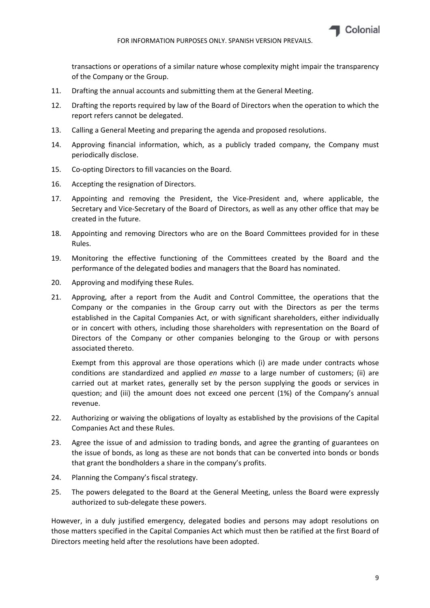

transactions or operations of a similar nature whose complexity might impair the transparency of the Company or the Group.

- 11. Drafting the annual accounts and submitting them at the General Meeting.
- 12. Drafting the reports required by law of the Board of Directors when the operation to which the report refers cannot be delegated.
- 13. Calling a General Meeting and preparing the agenda and proposed resolutions.
- 14. Approving financial information, which, as a publicly traded company, the Company must periodically disclose.
- 15. Co-opting Directors to fill vacancies on the Board.
- 16. Accepting the resignation of Directors.
- 17. Appointing and removing the President, the Vice-President and, where applicable, the Secretary and Vice‐Secretary of the Board of Directors, as well as any other office that may be created in the future.
- 18. Appointing and removing Directors who are on the Board Committees provided for in these Rules.
- 19. Monitoring the effective functioning of the Committees created by the Board and the performance of the delegated bodies and managers that the Board has nominated.
- 20. Approving and modifying these Rules.
- 21. Approving, after a report from the Audit and Control Committee, the operations that the Company or the companies in the Group carry out with the Directors as per the terms established in the Capital Companies Act, or with significant shareholders, either individually or in concert with others, including those shareholders with representation on the Board of Directors of the Company or other companies belonging to the Group or with persons associated thereto.

Exempt from this approval are those operations which (i) are made under contracts whose conditions are standardized and applied *en masse* to a large number of customers; (ii) are carried out at market rates, generally set by the person supplying the goods or services in question; and (iii) the amount does not exceed one percent (1%) of the Company's annual revenue.

- 22. Authorizing or waiving the obligations of loyalty as established by the provisions of the Capital Companies Act and these Rules.
- 23. Agree the issue of and admission to trading bonds, and agree the granting of guarantees on the issue of bonds, as long as these are not bonds that can be converted into bonds or bonds that grant the bondholders a share in the company's profits.
- 24. Planning the Company's fiscal strategy.
- 25. The powers delegated to the Board at the General Meeting, unless the Board were expressly authorized to sub‐delegate these powers.

However, in a duly justified emergency, delegated bodies and persons may adopt resolutions on those matters specified in the Capital Companies Act which must then be ratified at the first Board of Directors meeting held after the resolutions have been adopted.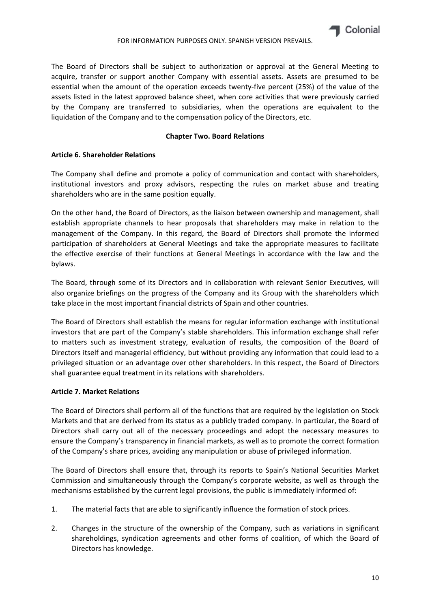

The Board of Directors shall be subject to authorization or approval at the General Meeting to acquire, transfer or support another Company with essential assets. Assets are presumed to be essential when the amount of the operation exceeds twenty‐five percent (25%) of the value of the assets listed in the latest approved balance sheet, when core activities that were previously carried by the Company are transferred to subsidiaries, when the operations are equivalent to the liquidation of the Company and to the compensation policy of the Directors, etc.

## **Chapter Two. Board Relations**

## **Article 6. Shareholder Relations**

The Company shall define and promote a policy of communication and contact with shareholders, institutional investors and proxy advisors, respecting the rules on market abuse and treating shareholders who are in the same position equally.

On the other hand, the Board of Directors, as the liaison between ownership and management, shall establish appropriate channels to hear proposals that shareholders may make in relation to the management of the Company. In this regard, the Board of Directors shall promote the informed participation of shareholders at General Meetings and take the appropriate measures to facilitate the effective exercise of their functions at General Meetings in accordance with the law and the bylaws.

The Board, through some of its Directors and in collaboration with relevant Senior Executives, will also organize briefings on the progress of the Company and its Group with the shareholders which take place in the most important financial districts of Spain and other countries.

The Board of Directors shall establish the means for regular information exchange with institutional investors that are part of the Company's stable shareholders. This information exchange shall refer to matters such as investment strategy, evaluation of results, the composition of the Board of Directors itself and managerial efficiency, but without providing any information that could lead to a privileged situation or an advantage over other shareholders. In this respect, the Board of Directors shall guarantee equal treatment in its relations with shareholders.

## **Article 7. Market Relations**

The Board of Directors shall perform all of the functions that are required by the legislation on Stock Markets and that are derived from its status as a publicly traded company. In particular, the Board of Directors shall carry out all of the necessary proceedings and adopt the necessary measures to ensure the Company's transparency in financial markets, as well as to promote the correct formation of the Company's share prices, avoiding any manipulation or abuse of privileged information.

The Board of Directors shall ensure that, through its reports to Spain's National Securities Market Commission and simultaneously through the Company's corporate website, as well as through the mechanisms established by the current legal provisions, the public is immediately informed of:

- 1. The material facts that are able to significantly influence the formation of stock prices.
- 2. Changes in the structure of the ownership of the Company, such as variations in significant shareholdings, syndication agreements and other forms of coalition, of which the Board of Directors has knowledge.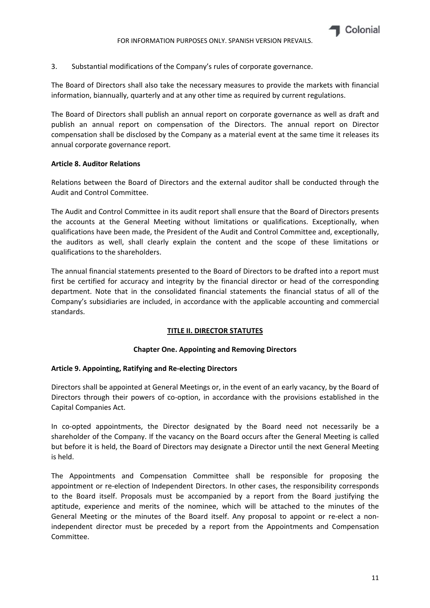3. Substantial modifications of the Company's rules of corporate governance.

The Board of Directors shall also take the necessary measures to provide the markets with financial information, biannually, quarterly and at any other time as required by current regulations.

The Board of Directors shall publish an annual report on corporate governance as well as draft and publish an annual report on compensation of the Directors. The annual report on Director compensation shall be disclosed by the Company as a material event at the same time it releases its annual corporate governance report.

## **Article 8. Auditor Relations**

Relations between the Board of Directors and the external auditor shall be conducted through the Audit and Control Committee.

The Audit and Control Committee in its audit report shall ensure that the Board of Directors presents the accounts at the General Meeting without limitations or qualifications. Exceptionally, when qualifications have been made, the President of the Audit and Control Committee and, exceptionally, the auditors as well, shall clearly explain the content and the scope of these limitations or qualifications to the shareholders.

The annual financial statements presented to the Board of Directors to be drafted into a report must first be certified for accuracy and integrity by the financial director or head of the corresponding department. Note that in the consolidated financial statements the financial status of all of the Company's subsidiaries are included, in accordance with the applicable accounting and commercial standards.

## **TITLE II. DIRECTOR STATUTES**

#### **Chapter One. Appointing and Removing Directors**

#### **Article 9. Appointing, Ratifying and Re‐electing Directors**

Directors shall be appointed at General Meetings or, in the event of an early vacancy, by the Board of Directors through their powers of co-option, in accordance with the provisions established in the Capital Companies Act.

In co-opted appointments, the Director designated by the Board need not necessarily be a shareholder of the Company. If the vacancy on the Board occurs after the General Meeting is called but before it is held, the Board of Directors may designate a Director until the next General Meeting is held.

The Appointments and Compensation Committee shall be responsible for proposing the appointment or re‐election of Independent Directors. In other cases, the responsibility corresponds to the Board itself. Proposals must be accompanied by a report from the Board justifying the aptitude, experience and merits of the nominee, which will be attached to the minutes of the General Meeting or the minutes of the Board itself. Any proposal to appoint or re-elect a nonindependent director must be preceded by a report from the Appointments and Compensation Committee.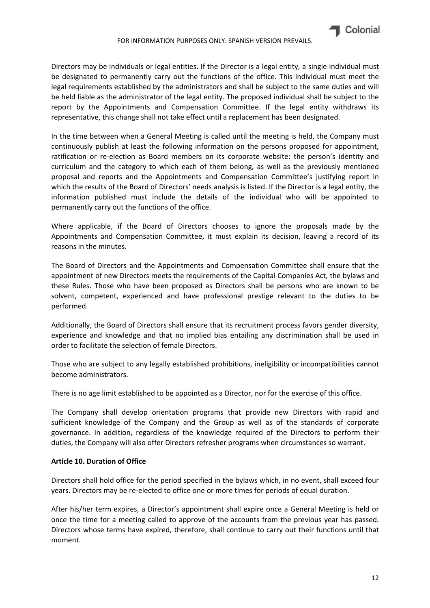Directors may be individuals or legal entities. If the Director is a legal entity, a single individual must be designated to permanently carry out the functions of the office. This individual must meet the legal requirements established by the administrators and shall be subject to the same duties and will be held liable as the administrator of the legal entity. The proposed individual shall be subject to the report by the Appointments and Compensation Committee. If the legal entity withdraws its representative, this change shall not take effect until a replacement has been designated.

In the time between when a General Meeting is called until the meeting is held, the Company must continuously publish at least the following information on the persons proposed for appointment, ratification or re-election as Board members on its corporate website: the person's identity and curriculum and the category to which each of them belong, as well as the previously mentioned proposal and reports and the Appointments and Compensation Committee's justifying report in which the results of the Board of Directors' needs analysis is listed. If the Director is a legal entity, the information published must include the details of the individual who will be appointed to permanently carry out the functions of the office.

Where applicable, if the Board of Directors chooses to ignore the proposals made by the Appointments and Compensation Committee, it must explain its decision, leaving a record of its reasons in the minutes.

The Board of Directors and the Appointments and Compensation Committee shall ensure that the appointment of new Directors meets the requirements of the Capital Companies Act, the bylaws and these Rules. Those who have been proposed as Directors shall be persons who are known to be solvent, competent, experienced and have professional prestige relevant to the duties to be performed.

Additionally, the Board of Directors shall ensure that its recruitment process favors gender diversity, experience and knowledge and that no implied bias entailing any discrimination shall be used in order to facilitate the selection of female Directors.

Those who are subject to any legally established prohibitions, ineligibility or incompatibilities cannot become administrators.

There is no age limit established to be appointed as a Director, nor for the exercise of this office.

The Company shall develop orientation programs that provide new Directors with rapid and sufficient knowledge of the Company and the Group as well as of the standards of corporate governance. In addition, regardless of the knowledge required of the Directors to perform their duties, the Company will also offer Directors refresher programs when circumstances so warrant.

#### **Article 10. Duration of Office**

Directors shall hold office for the period specified in the bylaws which, in no event, shall exceed four years. Directors may be re‐elected to office one or more times for periods of equal duration.

After his/her term expires, a Director's appointment shall expire once a General Meeting is held or once the time for a meeting called to approve of the accounts from the previous year has passed. Directors whose terms have expired, therefore, shall continue to carry out their functions until that moment.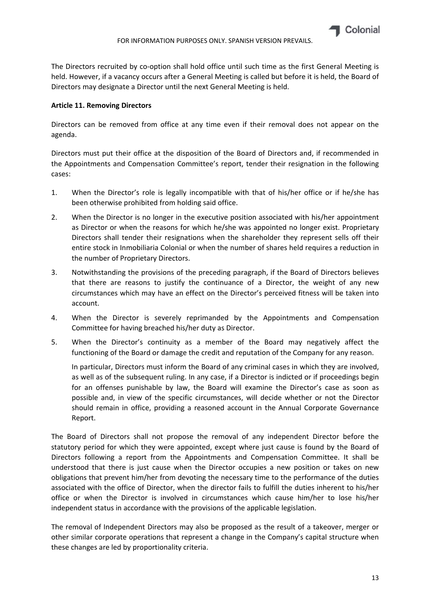

The Directors recruited by co-option shall hold office until such time as the first General Meeting is held. However, if a vacancy occurs after a General Meeting is called but before it is held, the Board of Directors may designate a Director until the next General Meeting is held.

#### **Article 11. Removing Directors**

Directors can be removed from office at any time even if their removal does not appear on the agenda.

Directors must put their office at the disposition of the Board of Directors and, if recommended in the Appointments and Compensation Committee's report, tender their resignation in the following cases:

- 1. When the Director's role is legally incompatible with that of his/her office or if he/she has been otherwise prohibited from holding said office.
- 2. When the Director is no longer in the executive position associated with his/her appointment as Director or when the reasons for which he/she was appointed no longer exist. Proprietary Directors shall tender their resignations when the shareholder they represent sells off their entire stock in Inmobiliaria Colonial or when the number of shares held requires a reduction in the number of Proprietary Directors.
- 3. Notwithstanding the provisions of the preceding paragraph, if the Board of Directors believes that there are reasons to justify the continuance of a Director, the weight of any new circumstances which may have an effect on the Director's perceived fitness will be taken into account.
- 4. When the Director is severely reprimanded by the Appointments and Compensation Committee for having breached his/her duty as Director.
- 5. When the Director's continuity as a member of the Board may negatively affect the functioning of the Board or damage the credit and reputation of the Company for any reason.

In particular, Directors must inform the Board of any criminal cases in which they are involved, as well as of the subsequent ruling. In any case, if a Director is indicted or if proceedings begin for an offenses punishable by law, the Board will examine the Director's case as soon as possible and, in view of the specific circumstances, will decide whether or not the Director should remain in office, providing a reasoned account in the Annual Corporate Governance Report.

The Board of Directors shall not propose the removal of any independent Director before the statutory period for which they were appointed, except where just cause is found by the Board of Directors following a report from the Appointments and Compensation Committee. It shall be understood that there is just cause when the Director occupies a new position or takes on new obligations that prevent him/her from devoting the necessary time to the performance of the duties associated with the office of Director, when the director fails to fulfill the duties inherent to his/her office or when the Director is involved in circumstances which cause him/her to lose his/her independent status in accordance with the provisions of the applicable legislation.

The removal of Independent Directors may also be proposed as the result of a takeover, merger or other similar corporate operations that represent a change in the Company's capital structure when these changes are led by proportionality criteria.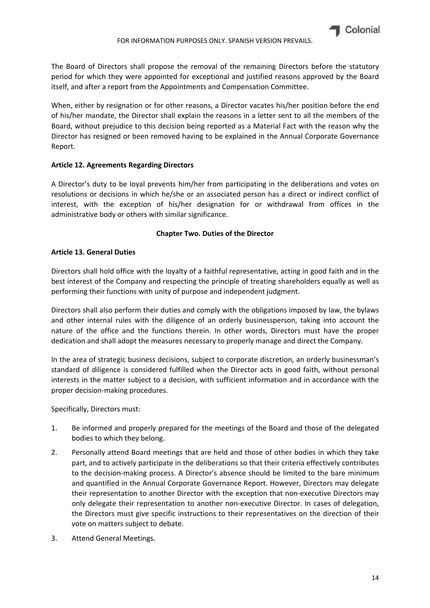The Board of Directors shall propose the removal of the remaining Directors before the statutory period for which they were appointed for exceptional and justified reasons approved by the Board itself, and after a report from the Appointments and Compensation Committee.

When, either by resignation or for other reasons, a Director vacates his/her position before the end of his/her mandate, the Director shall explain the reasons in a letter sent to all the members of the Board, without prejudice to this decision being reported as a Material Fact with the reason why the Director has resigned or been removed having to be explained in the Annual Corporate Governance Report.

#### **Article 12. Agreements Regarding Directors**

A Director's duty to be loyal prevents him/her from participating in the deliberations and votes on resolutions or decisions in which he/she or an associated person has a direct or indirect conflict of interest, with the exception of his/her designation for or withdrawal from offices in the administrative body or others with similar significance.

## **Chapter Two. Duties of the Director**

#### **Article 13. General Duties**

Directors shall hold office with the loyalty of a faithful representative, acting in good faith and in the best interest of the Company and respecting the principle of treating shareholders equally as well as performing their functions with unity of purpose and independent judgment.

Directors shall also perform their duties and comply with the obligations imposed by law, the bylaws and other internal rules with the diligence of an orderly businessperson, taking into account the nature of the office and the functions therein. In other words, Directors must have the proper dedication and shall adopt the measures necessary to properly manage and direct the Company.

In the area of strategic business decisions, subject to corporate discretion, an orderly businessman's standard of diligence is considered fulfilled when the Director acts in good faith, without personal interests in the matter subject to a decision, with sufficient information and in accordance with the proper decision‐making procedures.

Specifically, Directors must:

- 1. Be informed and properly prepared for the meetings of the Board and those of the delegated bodies to which they belong.
- 2. Personally attend Board meetings that are held and those of other bodies in which they take part, and to actively participate in the deliberations so that their criteria effectively contributes to the decision-making process. A Director's absence should be limited to the bare minimum and quantified in the Annual Corporate Governance Report. However, Directors may delegate their representation to another Director with the exception that non-executive Directors may only delegate their representation to another non-executive Director. In cases of delegation, the Directors must give specific instructions to their representatives on the direction of their vote on matters subject to debate.
- 3. Attend General Meetings.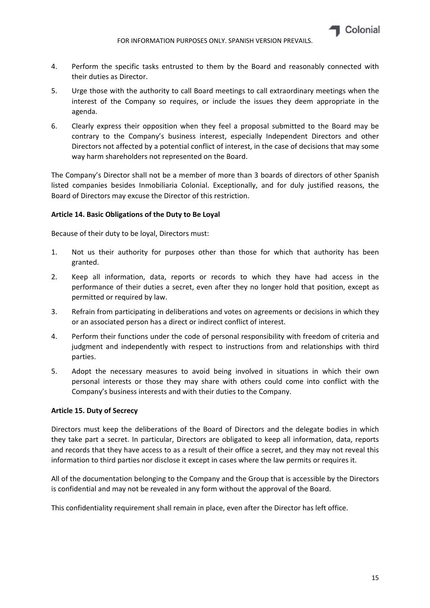

- 4. Perform the specific tasks entrusted to them by the Board and reasonably connected with their duties as Director.
- 5. Urge those with the authority to call Board meetings to call extraordinary meetings when the interest of the Company so requires, or include the issues they deem appropriate in the agenda.
- 6. Clearly express their opposition when they feel a proposal submitted to the Board may be contrary to the Company's business interest, especially Independent Directors and other Directors not affected by a potential conflict of interest, in the case of decisions that may some way harm shareholders not represented on the Board.

The Company's Director shall not be a member of more than 3 boards of directors of other Spanish listed companies besides Inmobiliaria Colonial. Exceptionally, and for duly justified reasons, the Board of Directors may excuse the Director of this restriction.

## **Article 14. Basic Obligations of the Duty to Be Loyal**

Because of their duty to be loyal, Directors must:

- 1. Not us their authority for purposes other than those for which that authority has been granted.
- 2. Keep all information, data, reports or records to which they have had access in the performance of their duties a secret, even after they no longer hold that position, except as permitted or required by law.
- 3. Refrain from participating in deliberations and votes on agreements or decisions in which they or an associated person has a direct or indirect conflict of interest.
- 4. Perform their functions under the code of personal responsibility with freedom of criteria and judgment and independently with respect to instructions from and relationships with third parties.
- 5. Adopt the necessary measures to avoid being involved in situations in which their own personal interests or those they may share with others could come into conflict with the Company's business interests and with their duties to the Company.

#### **Article 15. Duty of Secrecy**

Directors must keep the deliberations of the Board of Directors and the delegate bodies in which they take part a secret. In particular, Directors are obligated to keep all information, data, reports and records that they have access to as a result of their office a secret, and they may not reveal this information to third parties nor disclose it except in cases where the law permits or requires it.

All of the documentation belonging to the Company and the Group that is accessible by the Directors is confidential and may not be revealed in any form without the approval of the Board.

This confidentiality requirement shall remain in place, even after the Director has left office.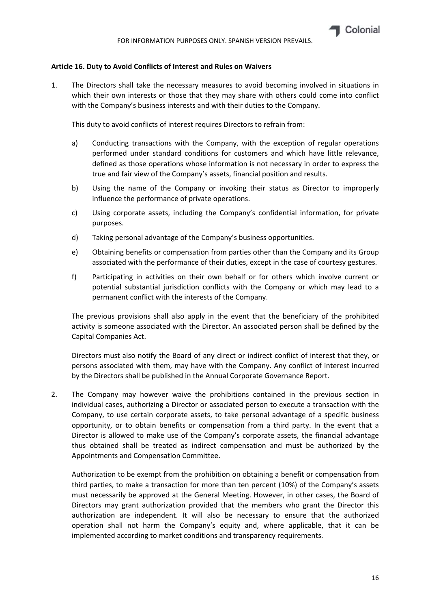### **Article 16. Duty to Avoid Conflicts of Interest and Rules on Waivers**

1. The Directors shall take the necessary measures to avoid becoming involved in situations in which their own interests or those that they may share with others could come into conflict with the Company's business interests and with their duties to the Company.

This duty to avoid conflicts of interest requires Directors to refrain from:

- a) Conducting transactions with the Company, with the exception of regular operations performed under standard conditions for customers and which have little relevance, defined as those operations whose information is not necessary in order to express the true and fair view of the Company's assets, financial position and results.
- b) Using the name of the Company or invoking their status as Director to improperly influence the performance of private operations.
- c) Using corporate assets, including the Company's confidential information, for private purposes.
- d) Taking personal advantage of the Company's business opportunities.
- e) Obtaining benefits or compensation from parties other than the Company and its Group associated with the performance of their duties, except in the case of courtesy gestures.
- f) Participating in activities on their own behalf or for others which involve current or potential substantial jurisdiction conflicts with the Company or which may lead to a permanent conflict with the interests of the Company.

The previous provisions shall also apply in the event that the beneficiary of the prohibited activity is someone associated with the Director. An associated person shall be defined by the Capital Companies Act.

Directors must also notify the Board of any direct or indirect conflict of interest that they, or persons associated with them, may have with the Company. Any conflict of interest incurred by the Directors shall be published in the Annual Corporate Governance Report.

2. The Company may however waive the prohibitions contained in the previous section in individual cases, authorizing a Director or associated person to execute a transaction with the Company, to use certain corporate assets, to take personal advantage of a specific business opportunity, or to obtain benefits or compensation from a third party. In the event that a Director is allowed to make use of the Company's corporate assets, the financial advantage thus obtained shall be treated as indirect compensation and must be authorized by the Appointments and Compensation Committee.

Authorization to be exempt from the prohibition on obtaining a benefit or compensation from third parties, to make a transaction for more than ten percent (10%) of the Company's assets must necessarily be approved at the General Meeting. However, in other cases, the Board of Directors may grant authorization provided that the members who grant the Director this authorization are independent. It will also be necessary to ensure that the authorized operation shall not harm the Company's equity and, where applicable, that it can be implemented according to market conditions and transparency requirements.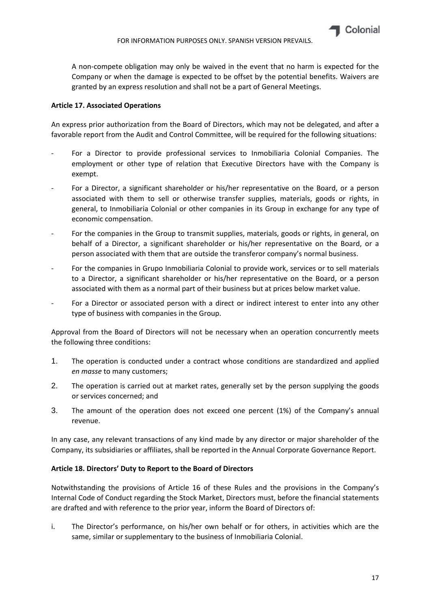A non‐compete obligation may only be waived in the event that no harm is expected for the Company or when the damage is expected to be offset by the potential benefits. Waivers are granted by an express resolution and shall not be a part of General Meetings.

### **Article 17. Associated Operations**

An express prior authorization from the Board of Directors, which may not be delegated, and after a favorable report from the Audit and Control Committee, will be required for the following situations:

- For a Director to provide professional services to Inmobiliaria Colonial Companies. The employment or other type of relation that Executive Directors have with the Company is exempt.
- ‐ For a Director, a significant shareholder or his/her representative on the Board, or a person associated with them to sell or otherwise transfer supplies, materials, goods or rights, in general, to Inmobiliaria Colonial or other companies in its Group in exchange for any type of economic compensation.
- For the companies in the Group to transmit supplies, materials, goods or rights, in general, on behalf of a Director, a significant shareholder or his/her representative on the Board, or a person associated with them that are outside the transferor company's normal business.
- ‐ For the companies in Grupo Inmobiliaria Colonial to provide work, services or to sell materials to a Director, a significant shareholder or his/her representative on the Board, or a person associated with them as a normal part of their business but at prices below market value.
- For a Director or associated person with a direct or indirect interest to enter into any other type of business with companies in the Group.

Approval from the Board of Directors will not be necessary when an operation concurrently meets the following three conditions:

- 1. The operation is conducted under a contract whose conditions are standardized and applied *en masse* to many customers;
- 2. The operation is carried out at market rates, generally set by the person supplying the goods or services concerned; and
- 3. The amount of the operation does not exceed one percent (1%) of the Company's annual revenue.

In any case, any relevant transactions of any kind made by any director or major shareholder of the Company, its subsidiaries or affiliates, shall be reported in the Annual Corporate Governance Report.

#### **Article 18. Directors' Duty to Report to the Board of Directors**

Notwithstanding the provisions of Article 16 of these Rules and the provisions in the Company's Internal Code of Conduct regarding the Stock Market, Directors must, before the financial statements are drafted and with reference to the prior year, inform the Board of Directors of:

i. The Director's performance, on his/her own behalf or for others, in activities which are the same, similar or supplementary to the business of Inmobiliaria Colonial.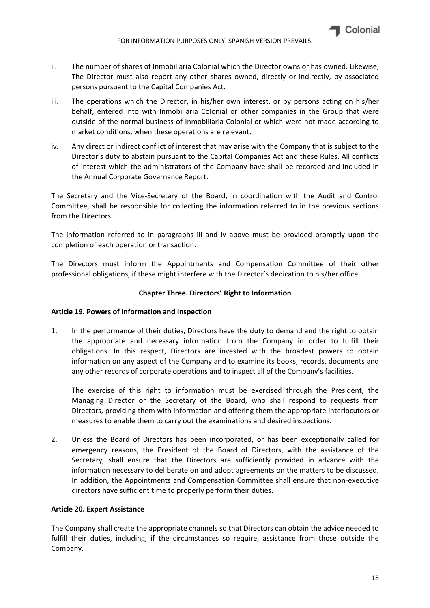

- ii. The number of shares of Inmobiliaria Colonial which the Director owns or has owned. Likewise, The Director must also report any other shares owned, directly or indirectly, by associated persons pursuant to the Capital Companies Act.
- iii. The operations which the Director, in his/her own interest, or by persons acting on his/her behalf, entered into with Inmobiliaria Colonial or other companies in the Group that were outside of the normal business of Inmobiliaria Colonial or which were not made according to market conditions, when these operations are relevant.
- iv. Any direct or indirect conflict of interest that may arise with the Company that is subject to the Director's duty to abstain pursuant to the Capital Companies Act and these Rules. All conflicts of interest which the administrators of the Company have shall be recorded and included in the Annual Corporate Governance Report.

The Secretary and the Vice‐Secretary of the Board, in coordination with the Audit and Control Committee, shall be responsible for collecting the information referred to in the previous sections from the Directors.

The information referred to in paragraphs iii and iv above must be provided promptly upon the completion of each operation or transaction.

The Directors must inform the Appointments and Compensation Committee of their other professional obligations, if these might interfere with the Director's dedication to his/her office.

## **Chapter Three. Directors' Right to Information**

#### **Article 19. Powers of Information and Inspection**

1. In the performance of their duties, Directors have the duty to demand and the right to obtain the appropriate and necessary information from the Company in order to fulfill their obligations. In this respect, Directors are invested with the broadest powers to obtain information on any aspect of the Company and to examine its books, records, documents and any other records of corporate operations and to inspect all of the Company's facilities.

The exercise of this right to information must be exercised through the President, the Managing Director or the Secretary of the Board, who shall respond to requests from Directors, providing them with information and offering them the appropriate interlocutors or measures to enable them to carry out the examinations and desired inspections.

2. Unless the Board of Directors has been incorporated, or has been exceptionally called for emergency reasons, the President of the Board of Directors, with the assistance of the Secretary, shall ensure that the Directors are sufficiently provided in advance with the information necessary to deliberate on and adopt agreements on the matters to be discussed. In addition, the Appointments and Compensation Committee shall ensure that non‐executive directors have sufficient time to properly perform their duties.

#### **Article 20. Expert Assistance**

The Company shall create the appropriate channels so that Directors can obtain the advice needed to fulfill their duties, including, if the circumstances so require, assistance from those outside the Company.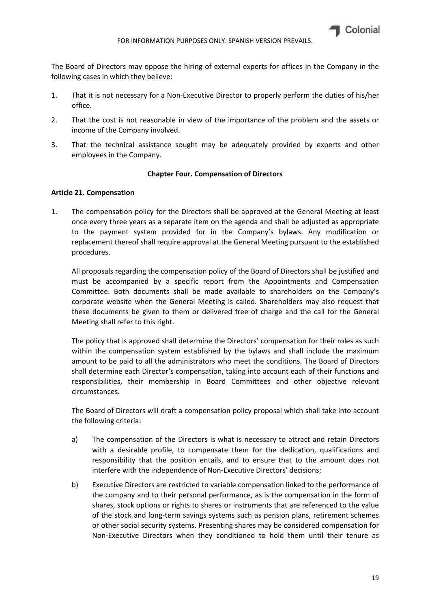

The Board of Directors may oppose the hiring of external experts for offices in the Company in the following cases in which they believe:

- 1. That it is not necessary for a Non‐Executive Director to properly perform the duties of his/her office.
- 2. That the cost is not reasonable in view of the importance of the problem and the assets or income of the Company involved.
- 3. That the technical assistance sought may be adequately provided by experts and other employees in the Company.

## **Chapter Four. Compensation of Directors**

## **Article 21. Compensation**

1. The compensation policy for the Directors shall be approved at the General Meeting at least once every three years as a separate item on the agenda and shall be adjusted as appropriate to the payment system provided for in the Company's bylaws. Any modification or replacement thereof shall require approval at the General Meeting pursuant to the established procedures.

All proposals regarding the compensation policy of the Board of Directors shall be justified and must be accompanied by a specific report from the Appointments and Compensation Committee. Both documents shall be made available to shareholders on the Company's corporate website when the General Meeting is called. Shareholders may also request that these documents be given to them or delivered free of charge and the call for the General Meeting shall refer to this right.

The policy that is approved shall determine the Directors' compensation for their roles as such within the compensation system established by the bylaws and shall include the maximum amount to be paid to all the administrators who meet the conditions. The Board of Directors shall determine each Director's compensation, taking into account each of their functions and responsibilities, their membership in Board Committees and other objective relevant circumstances.

The Board of Directors will draft a compensation policy proposal which shall take into account the following criteria:

- a) The compensation of the Directors is what is necessary to attract and retain Directors with a desirable profile, to compensate them for the dedication, qualifications and responsibility that the position entails, and to ensure that to the amount does not interfere with the independence of Non-Executive Directors' decisions;
- b) Executive Directors are restricted to variable compensation linked to the performance of the company and to their personal performance, as is the compensation in the form of shares, stock options or rights to shares or instruments that are referenced to the value of the stock and long‐term savings systems such as pension plans, retirement schemes or other social security systems. Presenting shares may be considered compensation for Non‐Executive Directors when they conditioned to hold them until their tenure as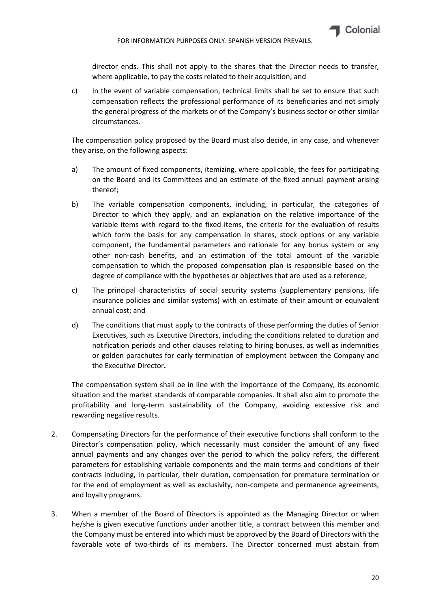director ends. This shall not apply to the shares that the Director needs to transfer, where applicable, to pay the costs related to their acquisition; and

c) In the event of variable compensation, technical limits shall be set to ensure that such compensation reflects the professional performance of its beneficiaries and not simply the general progress of the markets or of the Company's business sector or other similar circumstances.

The compensation policy proposed by the Board must also decide, in any case, and whenever they arise, on the following aspects:

- a) The amount of fixed components, itemizing, where applicable, the fees for participating on the Board and its Committees and an estimate of the fixed annual payment arising thereof;
- b) The variable compensation components, including, in particular, the categories of Director to which they apply, and an explanation on the relative importance of the variable items with regard to the fixed items, the criteria for the evaluation of results which form the basis for any compensation in shares, stock options or any variable component, the fundamental parameters and rationale for any bonus system or any other non‐cash benefits, and an estimation of the total amount of the variable compensation to which the proposed compensation plan is responsible based on the degree of compliance with the hypotheses or objectives that are used as a reference;
- c) The principal characteristics of social security systems (supplementary pensions, life insurance policies and similar systems) with an estimate of their amount or equivalent annual cost; and
- d) The conditions that must apply to the contracts of those performing the duties of Senior Executives, such as Executive Directors, including the conditions related to duration and notification periods and other clauses relating to hiring bonuses, as well as indemnities or golden parachutes for early termination of employment between the Company and the Executive Director**.**

The compensation system shall be in line with the importance of the Company, its economic situation and the market standards of comparable companies. It shall also aim to promote the profitability and long‐term sustainability of the Company, avoiding excessive risk and rewarding negative results.

- 2. Compensating Directors for the performance of their executive functions shall conform to the Director's compensation policy, which necessarily must consider the amount of any fixed annual payments and any changes over the period to which the policy refers, the different parameters for establishing variable components and the main terms and conditions of their contracts including, in particular, their duration, compensation for premature termination or for the end of employment as well as exclusivity, non-compete and permanence agreements, and loyalty programs.
- 3. When a member of the Board of Directors is appointed as the Managing Director or when he/she is given executive functions under another title, a contract between this member and the Company must be entered into which must be approved by the Board of Directors with the favorable vote of two-thirds of its members. The Director concerned must abstain from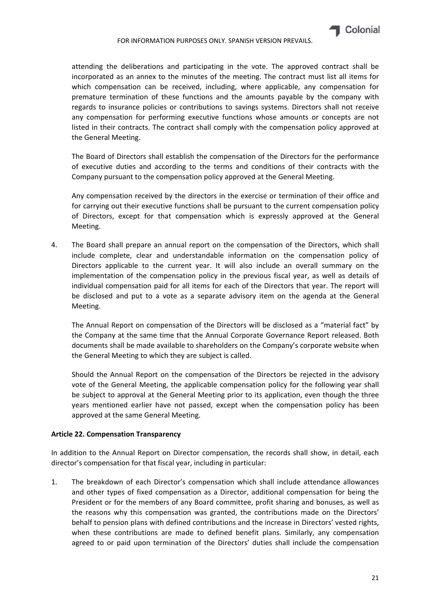attending the deliberations and participating in the vote. The approved contract shall be incorporated as an annex to the minutes of the meeting. The contract must list all items for which compensation can be received, including, where applicable, any compensation for premature termination of these functions and the amounts payable by the company with regards to insurance policies or contributions to savings systems. Directors shall not receive any compensation for performing executive functions whose amounts or concepts are not listed in their contracts. The contract shall comply with the compensation policy approved at the General Meeting.

The Board of Directors shall establish the compensation of the Directors for the performance of executive duties and according to the terms and conditions of their contracts with the Company pursuant to the compensation policy approved at the General Meeting.

Any compensation received by the directors in the exercise or termination of their office and for carrying out their executive functions shall be pursuant to the current compensation policy of Directors, except for that compensation which is expressly approved at the General Meeting.

4. The Board shall prepare an annual report on the compensation of the Directors, which shall include complete, clear and understandable information on the compensation policy of Directors applicable to the current year. It will also include an overall summary on the implementation of the compensation policy in the previous fiscal year, as well as details of individual compensation paid for all items for each of the Directors that year. The report will be disclosed and put to a vote as a separate advisory item on the agenda at the General Meeting.

The Annual Report on compensation of the Directors will be disclosed as a "material fact" by the Company at the same time that the Annual Corporate Governance Report released. Both documents shall be made available to shareholders on the Company's corporate website when the General Meeting to which they are subject is called.

Should the Annual Report on the compensation of the Directors be rejected in the advisory vote of the General Meeting, the applicable compensation policy for the following year shall be subject to approval at the General Meeting prior to its application, even though the three years mentioned earlier have not passed, except when the compensation policy has been approved at the same General Meeting.

## **Article 22. Compensation Transparency**

In addition to the Annual Report on Director compensation, the records shall show, in detail, each director's compensation for that fiscal year, including in particular:

1. The breakdown of each Director's compensation which shall include attendance allowances and other types of fixed compensation as a Director, additional compensation for being the President or for the members of any Board committee, profit sharing and bonuses, as well as the reasons why this compensation was granted, the contributions made on the Directors' behalf to pension plans with defined contributions and the increase in Directors' vested rights, when these contributions are made to defined benefit plans. Similarly, any compensation agreed to or paid upon termination of the Directors' duties shall include the compensation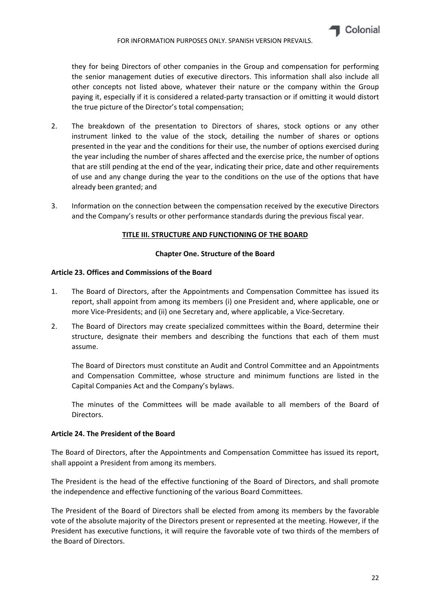they for being Directors of other companies in the Group and compensation for performing the senior management duties of executive directors. This information shall also include all other concepts not listed above, whatever their nature or the company within the Group paying it, especially if it is considered a related‐party transaction or if omitting it would distort the true picture of the Director's total compensation;

- 2. The breakdown of the presentation to Directors of shares, stock options or any other instrument linked to the value of the stock, detailing the number of shares or options presented in the year and the conditions for their use, the number of options exercised during the year including the number of shares affected and the exercise price, the number of options that are still pending at the end of the year, indicating their price, date and other requirements of use and any change during the year to the conditions on the use of the options that have already been granted; and
- 3. Information on the connection between the compensation received by the executive Directors and the Company's results or other performance standards during the previous fiscal year.

## **TITLE III. STRUCTURE AND FUNCTIONING OF THE BOARD**

#### **Chapter One. Structure of the Board**

## **Article 23. Offices and Commissions of the Board**

- 1. The Board of Directors, after the Appointments and Compensation Committee has issued its report, shall appoint from among its members (i) one President and, where applicable, one or more Vice‐Presidents; and (ii) one Secretary and, where applicable, a Vice‐Secretary.
- 2. The Board of Directors may create specialized committees within the Board, determine their structure, designate their members and describing the functions that each of them must assume.

The Board of Directors must constitute an Audit and Control Committee and an Appointments and Compensation Committee, whose structure and minimum functions are listed in the Capital Companies Act and the Company's bylaws.

The minutes of the Committees will be made available to all members of the Board of Directors.

#### **Article 24. The President of the Board**

The Board of Directors, after the Appointments and Compensation Committee has issued its report, shall appoint a President from among its members.

The President is the head of the effective functioning of the Board of Directors, and shall promote the independence and effective functioning of the various Board Committees.

The President of the Board of Directors shall be elected from among its members by the favorable vote of the absolute majority of the Directors present or represented at the meeting. However, if the President has executive functions, it will require the favorable vote of two thirds of the members of the Board of Directors.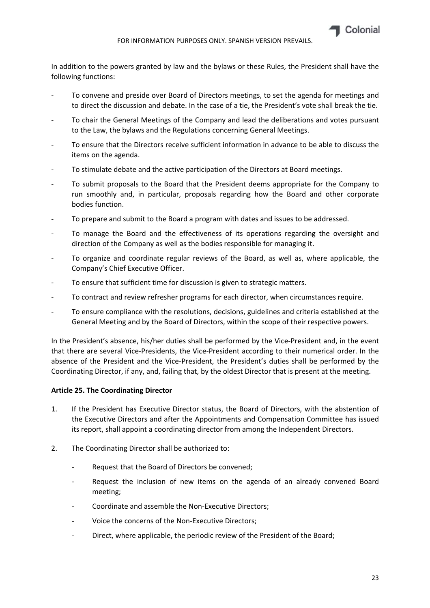

In addition to the powers granted by law and the bylaws or these Rules, the President shall have the following functions:

- To convene and preside over Board of Directors meetings, to set the agenda for meetings and to direct the discussion and debate. In the case of a tie, the President's vote shall break the tie.
- ‐ To chair the General Meetings of the Company and lead the deliberations and votes pursuant to the Law, the bylaws and the Regulations concerning General Meetings.
- ‐ To ensure that the Directors receive sufficient information in advance to be able to discuss the items on the agenda.
- ‐ To stimulate debate and the active participation of the Directors at Board meetings.
- ‐ To submit proposals to the Board that the President deems appropriate for the Company to run smoothly and, in particular, proposals regarding how the Board and other corporate bodies function.
- ‐ To prepare and submit to the Board a program with dates and issues to be addressed.
- ‐ To manage the Board and the effectiveness of its operations regarding the oversight and direction of the Company as well as the bodies responsible for managing it.
- ‐ To organize and coordinate regular reviews of the Board, as well as, where applicable, the Company's Chief Executive Officer.
- To ensure that sufficient time for discussion is given to strategic matters.
- ‐ To contract and review refresher programs for each director, when circumstances require.
- ‐ To ensure compliance with the resolutions, decisions, guidelines and criteria established at the General Meeting and by the Board of Directors, within the scope of their respective powers.

In the President's absence, his/her duties shall be performed by the Vice-President and, in the event that there are several Vice‐Presidents, the Vice‐President according to their numerical order. In the absence of the President and the Vice‐President, the President's duties shall be performed by the Coordinating Director, if any, and, failing that, by the oldest Director that is present at the meeting.

#### **Article 25. The Coordinating Director**

- 1. If the President has Executive Director status, the Board of Directors, with the abstention of the Executive Directors and after the Appointments and Compensation Committee has issued its report, shall appoint a coordinating director from among the Independent Directors.
- 2. The Coordinating Director shall be authorized to:
	- ‐ Request that the Board of Directors be convened;
	- ‐ Request the inclusion of new items on the agenda of an already convened Board meeting;
	- ‐ Coordinate and assemble the Non‐Executive Directors;
	- Voice the concerns of the Non-Executive Directors;
	- ‐ Direct, where applicable, the periodic review of the President of the Board;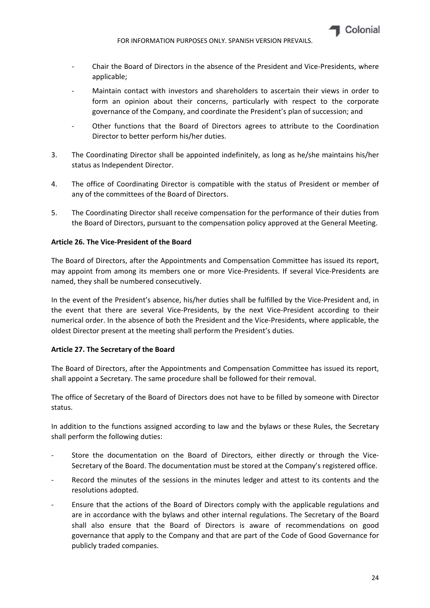

- ‐ Chair the Board of Directors in the absence of the President and Vice‐Presidents, where applicable;
- Maintain contact with investors and shareholders to ascertain their views in order to form an opinion about their concerns, particularly with respect to the corporate governance of the Company, and coordinate the President's plan of succession; and
- ‐ Other functions that the Board of Directors agrees to attribute to the Coordination Director to better perform his/her duties.
- 3. The Coordinating Director shall be appointed indefinitely, as long as he/she maintains his/her status as Independent Director.
- 4. The office of Coordinating Director is compatible with the status of President or member of any of the committees of the Board of Directors.
- 5. The Coordinating Director shall receive compensation for the performance of their duties from the Board of Directors, pursuant to the compensation policy approved at the General Meeting.

#### **Article 26. The Vice‐President of the Board**

The Board of Directors, after the Appointments and Compensation Committee has issued its report, may appoint from among its members one or more Vice‐Presidents. If several Vice‐Presidents are named, they shall be numbered consecutively.

In the event of the President's absence, his/her duties shall be fulfilled by the Vice-President and, in the event that there are several Vice‐Presidents, by the next Vice‐President according to their numerical order. In the absence of both the President and the Vice‐Presidents, where applicable, the oldest Director present at the meeting shall perform the President's duties.

#### **Article 27. The Secretary of the Board**

The Board of Directors, after the Appointments and Compensation Committee has issued its report, shall appoint a Secretary. The same procedure shall be followed for their removal.

The office of Secretary of the Board of Directors does not have to be filled by someone with Director status.

In addition to the functions assigned according to law and the bylaws or these Rules, the Secretary shall perform the following duties:

- Store the documentation on the Board of Directors, either directly or through the Vice-Secretary of the Board. The documentation must be stored at the Company's registered office.
- Record the minutes of the sessions in the minutes ledger and attest to its contents and the resolutions adopted.
- ‐ Ensure that the actions of the Board of Directors comply with the applicable regulations and are in accordance with the bylaws and other internal regulations. The Secretary of the Board shall also ensure that the Board of Directors is aware of recommendations on good governance that apply to the Company and that are part of the Code of Good Governance for publicly traded companies.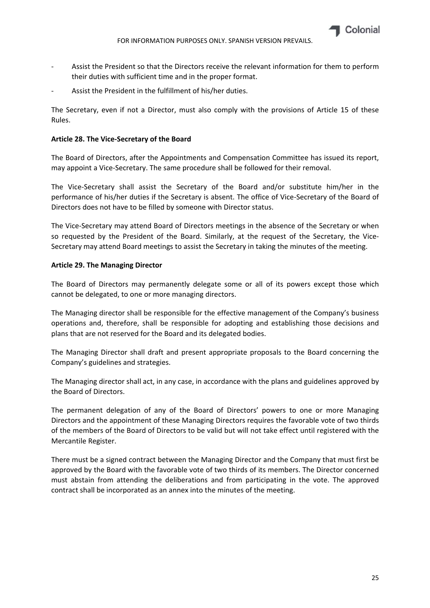

- ‐ Assist the President so that the Directors receive the relevant information for them to perform their duties with sufficient time and in the proper format.
- Assist the President in the fulfillment of his/her duties.

The Secretary, even if not a Director, must also comply with the provisions of Article 15 of these Rules.

## **Article 28. The Vice‐Secretary of the Board**

The Board of Directors, after the Appointments and Compensation Committee has issued its report, may appoint a Vice‐Secretary. The same procedure shall be followed for their removal.

The Vice-Secretary shall assist the Secretary of the Board and/or substitute him/her in the performance of his/her duties if the Secretary is absent. The office of Vice‐Secretary of the Board of Directors does not have to be filled by someone with Director status.

The Vice-Secretary may attend Board of Directors meetings in the absence of the Secretary or when so requested by the President of the Board. Similarly, at the request of the Secretary, the Vice-Secretary may attend Board meetings to assist the Secretary in taking the minutes of the meeting.

## **Article 29. The Managing Director**

The Board of Directors may permanently delegate some or all of its powers except those which cannot be delegated, to one or more managing directors.

The Managing director shall be responsible for the effective management of the Company's business operations and, therefore, shall be responsible for adopting and establishing those decisions and plans that are not reserved for the Board and its delegated bodies.

The Managing Director shall draft and present appropriate proposals to the Board concerning the Company's guidelines and strategies.

The Managing director shall act, in any case, in accordance with the plans and guidelines approved by the Board of Directors.

The permanent delegation of any of the Board of Directors' powers to one or more Managing Directors and the appointment of these Managing Directors requires the favorable vote of two thirds of the members of the Board of Directors to be valid but will not take effect until registered with the Mercantile Register.

There must be a signed contract between the Managing Director and the Company that must first be approved by the Board with the favorable vote of two thirds of its members. The Director concerned must abstain from attending the deliberations and from participating in the vote. The approved contract shall be incorporated as an annex into the minutes of the meeting.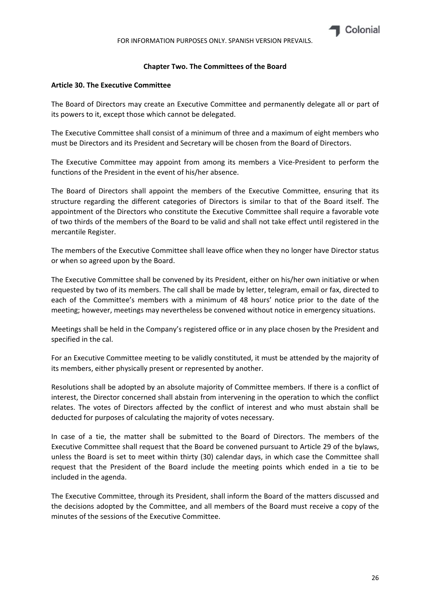## **Chapter Two. The Committees of the Board**

### **Article 30. The Executive Committee**

The Board of Directors may create an Executive Committee and permanently delegate all or part of its powers to it, except those which cannot be delegated.

The Executive Committee shall consist of a minimum of three and a maximum of eight members who must be Directors and its President and Secretary will be chosen from the Board of Directors.

The Executive Committee may appoint from among its members a Vice-President to perform the functions of the President in the event of his/her absence.

The Board of Directors shall appoint the members of the Executive Committee, ensuring that its structure regarding the different categories of Directors is similar to that of the Board itself. The appointment of the Directors who constitute the Executive Committee shall require a favorable vote of two thirds of the members of the Board to be valid and shall not take effect until registered in the mercantile Register.

The members of the Executive Committee shall leave office when they no longer have Director status or when so agreed upon by the Board.

The Executive Committee shall be convened by its President, either on his/her own initiative or when requested by two of its members. The call shall be made by letter, telegram, email or fax, directed to each of the Committee's members with a minimum of 48 hours' notice prior to the date of the meeting; however, meetings may nevertheless be convened without notice in emergency situations.

Meetings shall be held in the Company's registered office or in any place chosen by the President and specified in the cal.

For an Executive Committee meeting to be validly constituted, it must be attended by the majority of its members, either physically present or represented by another.

Resolutions shall be adopted by an absolute majority of Committee members. If there is a conflict of interest, the Director concerned shall abstain from intervening in the operation to which the conflict relates. The votes of Directors affected by the conflict of interest and who must abstain shall be deducted for purposes of calculating the majority of votes necessary.

In case of a tie, the matter shall be submitted to the Board of Directors. The members of the Executive Committee shall request that the Board be convened pursuant to Article 29 of the bylaws, unless the Board is set to meet within thirty (30) calendar days, in which case the Committee shall request that the President of the Board include the meeting points which ended in a tie to be included in the agenda.

The Executive Committee, through its President, shall inform the Board of the matters discussed and the decisions adopted by the Committee, and all members of the Board must receive a copy of the minutes of the sessions of the Executive Committee.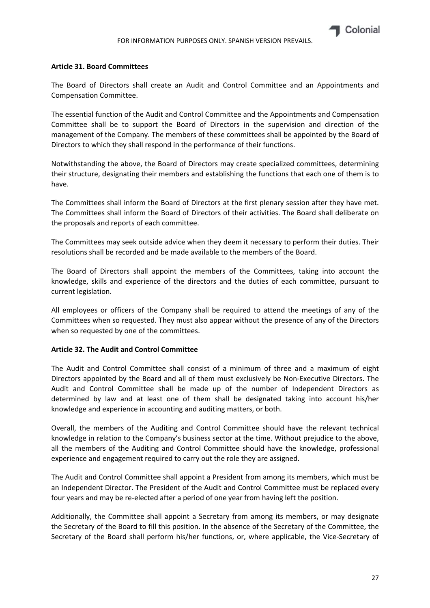

#### **Article 31. Board Committees**

The Board of Directors shall create an Audit and Control Committee and an Appointments and Compensation Committee.

The essential function of the Audit and Control Committee and the Appointments and Compensation Committee shall be to support the Board of Directors in the supervision and direction of the management of the Company. The members of these committees shall be appointed by the Board of Directors to which they shall respond in the performance of their functions.

Notwithstanding the above, the Board of Directors may create specialized committees, determining their structure, designating their members and establishing the functions that each one of them is to have.

The Committees shall inform the Board of Directors at the first plenary session after they have met. The Committees shall inform the Board of Directors of their activities. The Board shall deliberate on the proposals and reports of each committee.

The Committees may seek outside advice when they deem it necessary to perform their duties. Their resolutions shall be recorded and be made available to the members of the Board.

The Board of Directors shall appoint the members of the Committees, taking into account the knowledge, skills and experience of the directors and the duties of each committee, pursuant to current legislation.

All employees or officers of the Company shall be required to attend the meetings of any of the Committees when so requested. They must also appear without the presence of any of the Directors when so requested by one of the committees.

#### **Article 32. The Audit and Control Committee**

The Audit and Control Committee shall consist of a minimum of three and a maximum of eight Directors appointed by the Board and all of them must exclusively be Non-Executive Directors. The Audit and Control Committee shall be made up of the number of Independent Directors as determined by law and at least one of them shall be designated taking into account his/her knowledge and experience in accounting and auditing matters, or both.

Overall, the members of the Auditing and Control Committee should have the relevant technical knowledge in relation to the Company's business sector at the time. Without prejudice to the above, all the members of the Auditing and Control Committee should have the knowledge, professional experience and engagement required to carry out the role they are assigned.

The Audit and Control Committee shall appoint a President from among its members, which must be an Independent Director. The President of the Audit and Control Committee must be replaced every four years and may be re-elected after a period of one year from having left the position.

Additionally, the Committee shall appoint a Secretary from among its members, or may designate the Secretary of the Board to fill this position. In the absence of the Secretary of the Committee, the Secretary of the Board shall perform his/her functions, or, where applicable, the Vice-Secretary of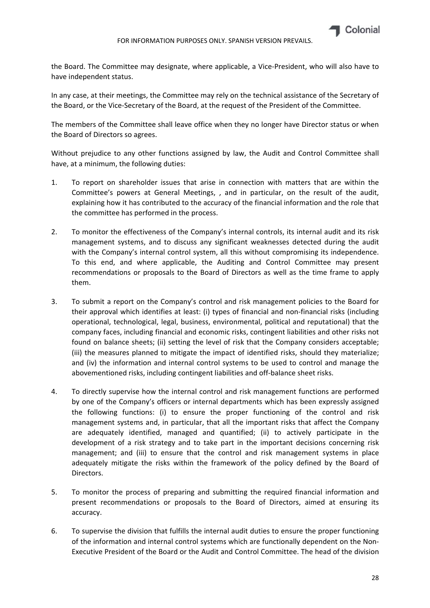

the Board. The Committee may designate, where applicable, a Vice‐President, who will also have to have independent status.

In any case, at their meetings, the Committee may rely on the technical assistance of the Secretary of the Board, or the Vice‐Secretary of the Board, at the request of the President of the Committee.

The members of the Committee shall leave office when they no longer have Director status or when the Board of Directors so agrees.

Without prejudice to any other functions assigned by law, the Audit and Control Committee shall have, at a minimum, the following duties:

- 1. To report on shareholder issues that arise in connection with matters that are within the Committee's powers at General Meetings, , and in particular, on the result of the audit, explaining how it has contributed to the accuracy of the financial information and the role that the committee has performed in the process.
- 2. To monitor the effectiveness of the Company's internal controls, its internal audit and its risk management systems, and to discuss any significant weaknesses detected during the audit with the Company's internal control system, all this without compromising its independence. To this end, and where applicable, the Auditing and Control Committee may present recommendations or proposals to the Board of Directors as well as the time frame to apply them.
- 3. To submit a report on the Company's control and risk management policies to the Board for their approval which identifies at least: (i) types of financial and non‐financial risks (including operational, technological, legal, business, environmental, political and reputational) that the company faces, including financial and economic risks, contingent liabilities and other risks not found on balance sheets; (ii) setting the level of risk that the Company considers acceptable; (iii) the measures planned to mitigate the impact of identified risks, should they materialize; and (iv) the information and internal control systems to be used to control and manage the abovementioned risks, including contingent liabilities and off‐balance sheet risks.
- 4. To directly supervise how the internal control and risk management functions are performed by one of the Company's officers or internal departments which has been expressly assigned the following functions: (i) to ensure the proper functioning of the control and risk management systems and, in particular, that all the important risks that affect the Company are adequately identified, managed and quantified; (ii) to actively participate in the development of a risk strategy and to take part in the important decisions concerning risk management; and (iii) to ensure that the control and risk management systems in place adequately mitigate the risks within the framework of the policy defined by the Board of Directors.
- 5. To monitor the process of preparing and submitting the required financial information and present recommendations or proposals to the Board of Directors, aimed at ensuring its accuracy.
- 6. To supervise the division that fulfills the internal audit duties to ensure the proper functioning of the information and internal control systems which are functionally dependent on the Non‐ Executive President of the Board or the Audit and Control Committee. The head of the division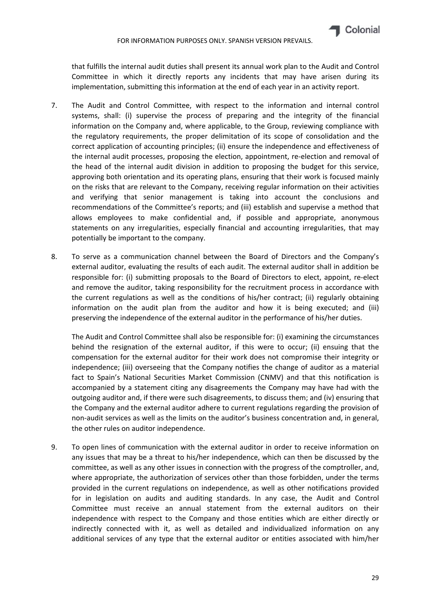that fulfills the internal audit duties shall present its annual work plan to the Audit and Control Committee in which it directly reports any incidents that may have arisen during its implementation, submitting this information at the end of each year in an activity report.

- 7. The Audit and Control Committee, with respect to the information and internal control systems, shall: (i) supervise the process of preparing and the integrity of the financial information on the Company and, where applicable, to the Group, reviewing compliance with the regulatory requirements, the proper delimitation of its scope of consolidation and the correct application of accounting principles; (ii) ensure the independence and effectiveness of the internal audit processes, proposing the election, appointment, re-election and removal of the head of the internal audit division in addition to proposing the budget for this service, approving both orientation and its operating plans, ensuring that their work is focused mainly on the risks that are relevant to the Company, receiving regular information on their activities and verifying that senior management is taking into account the conclusions and recommendations of the Committee's reports; and (iii) establish and supervise a method that allows employees to make confidential and, if possible and appropriate, anonymous statements on any irregularities, especially financial and accounting irregularities, that may potentially be important to the company.
- 8. To serve as a communication channel between the Board of Directors and the Company's external auditor, evaluating the results of each audit. The external auditor shall in addition be responsible for: (i) submitting proposals to the Board of Directors to elect, appoint, re‐elect and remove the auditor, taking responsibility for the recruitment process in accordance with the current regulations as well as the conditions of his/her contract; (ii) regularly obtaining information on the audit plan from the auditor and how it is being executed; and (iii) preserving the independence of the external auditor in the performance of his/her duties.

The Audit and Control Committee shall also be responsible for: (i) examining the circumstances behind the resignation of the external auditor, if this were to occur; (ii) ensuing that the compensation for the external auditor for their work does not compromise their integrity or independence; (iii) overseeing that the Company notifies the change of auditor as a material fact to Spain's National Securities Market Commission (CNMV) and that this notification is accompanied by a statement citing any disagreements the Company may have had with the outgoing auditor and, if there were such disagreements, to discuss them; and (iv) ensuring that the Company and the external auditor adhere to current regulations regarding the provision of non‐audit services as well as the limits on the auditor's business concentration and, in general, the other rules on auditor independence.

9. To open lines of communication with the external auditor in order to receive information on any issues that may be a threat to his/her independence, which can then be discussed by the committee, as well as any other issues in connection with the progress of the comptroller, and, where appropriate, the authorization of services other than those forbidden, under the terms provided in the current regulations on independence, as well as other notifications provided for in legislation on audits and auditing standards. In any case, the Audit and Control Committee must receive an annual statement from the external auditors on their independence with respect to the Company and those entities which are either directly or indirectly connected with it, as well as detailed and individualized information on any additional services of any type that the external auditor or entities associated with him/her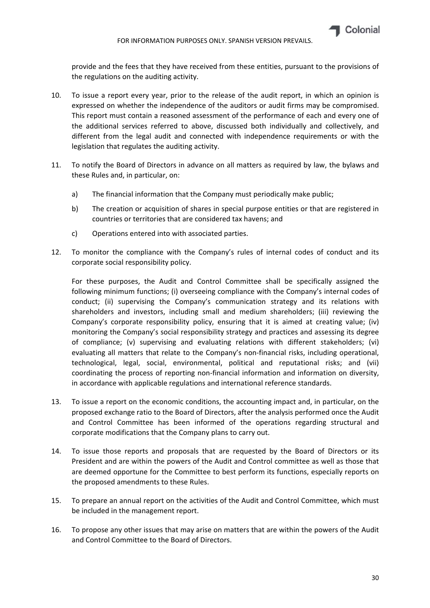provide and the fees that they have received from these entities, pursuant to the provisions of the regulations on the auditing activity.

- 10. To issue a report every year, prior to the release of the audit report, in which an opinion is expressed on whether the independence of the auditors or audit firms may be compromised. This report must contain a reasoned assessment of the performance of each and every one of the additional services referred to above, discussed both individually and collectively, and different from the legal audit and connected with independence requirements or with the legislation that regulates the auditing activity.
- 11. To notify the Board of Directors in advance on all matters as required by law, the bylaws and these Rules and, in particular, on:
	- a) The financial information that the Company must periodically make public;
	- b) The creation or acquisition of shares in special purpose entities or that are registered in countries or territories that are considered tax havens; and
	- c) Operations entered into with associated parties.
- 12. To monitor the compliance with the Company's rules of internal codes of conduct and its corporate social responsibility policy.

For these purposes, the Audit and Control Committee shall be specifically assigned the following minimum functions; (i) overseeing compliance with the Company's internal codes of conduct; (ii) supervising the Company's communication strategy and its relations with shareholders and investors, including small and medium shareholders; (iii) reviewing the Company's corporate responsibility policy, ensuring that it is aimed at creating value; (iv) monitoring the Company's social responsibility strategy and practices and assessing its degree of compliance; (v) supervising and evaluating relations with different stakeholders; (vi) evaluating all matters that relate to the Company's non‐financial risks, including operational, technological, legal, social, environmental, political and reputational risks; and (vii) coordinating the process of reporting non‐financial information and information on diversity, in accordance with applicable regulations and international reference standards.

- 13. To issue a report on the economic conditions, the accounting impact and, in particular, on the proposed exchange ratio to the Board of Directors, after the analysis performed once the Audit and Control Committee has been informed of the operations regarding structural and corporate modifications that the Company plans to carry out.
- 14. To issue those reports and proposals that are requested by the Board of Directors or its President and are within the powers of the Audit and Control committee as well as those that are deemed opportune for the Committee to best perform its functions, especially reports on the proposed amendments to these Rules.
- 15. To prepare an annual report on the activities of the Audit and Control Committee, which must be included in the management report.
- 16. To propose any other issues that may arise on matters that are within the powers of the Audit and Control Committee to the Board of Directors.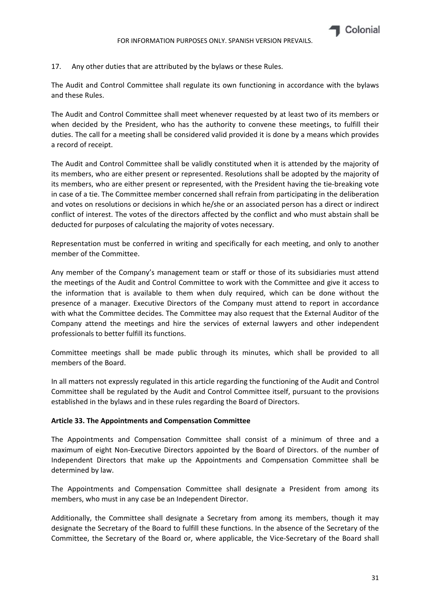17. Any other duties that are attributed by the bylaws or these Rules.

The Audit and Control Committee shall regulate its own functioning in accordance with the bylaws and these Rules.

The Audit and Control Committee shall meet whenever requested by at least two of its members or when decided by the President, who has the authority to convene these meetings, to fulfill their duties. The call for a meeting shall be considered valid provided it is done by a means which provides a record of receipt.

The Audit and Control Committee shall be validly constituted when it is attended by the majority of its members, who are either present or represented. Resolutions shall be adopted by the majority of its members, who are either present or represented, with the President having the tie‐breaking vote in case of a tie. The Committee member concerned shall refrain from participating in the deliberation and votes on resolutions or decisions in which he/she or an associated person has a direct or indirect conflict of interest. The votes of the directors affected by the conflict and who must abstain shall be deducted for purposes of calculating the majority of votes necessary.

Representation must be conferred in writing and specifically for each meeting, and only to another member of the Committee.

Any member of the Company's management team or staff or those of its subsidiaries must attend the meetings of the Audit and Control Committee to work with the Committee and give it access to the information that is available to them when duly required, which can be done without the presence of a manager. Executive Directors of the Company must attend to report in accordance with what the Committee decides. The Committee may also request that the External Auditor of the Company attend the meetings and hire the services of external lawyers and other independent professionals to better fulfill its functions.

Committee meetings shall be made public through its minutes, which shall be provided to all members of the Board.

In all matters not expressly regulated in this article regarding the functioning of the Audit and Control Committee shall be regulated by the Audit and Control Committee itself, pursuant to the provisions established in the bylaws and in these rules regarding the Board of Directors.

#### **Article 33. The Appointments and Compensation Committee**

The Appointments and Compensation Committee shall consist of a minimum of three and a maximum of eight Non‐Executive Directors appointed by the Board of Directors. of the number of Independent Directors that make up the Appointments and Compensation Committee shall be determined by law.

The Appointments and Compensation Committee shall designate a President from among its members, who must in any case be an Independent Director.

Additionally, the Committee shall designate a Secretary from among its members, though it may designate the Secretary of the Board to fulfill these functions. In the absence of the Secretary of the Committee, the Secretary of the Board or, where applicable, the Vice‐Secretary of the Board shall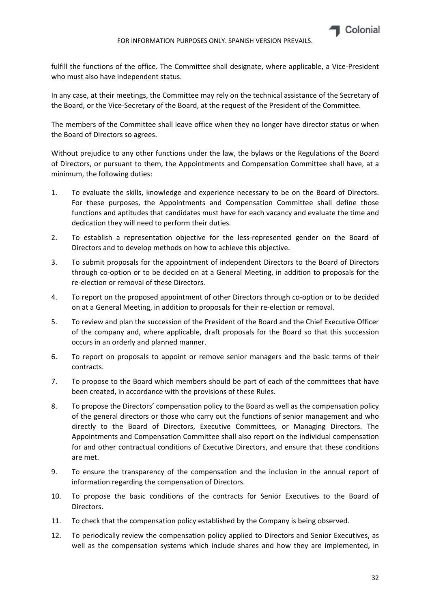

fulfill the functions of the office. The Committee shall designate, where applicable, a Vice‐President who must also have independent status.

In any case, at their meetings, the Committee may rely on the technical assistance of the Secretary of the Board, or the Vice‐Secretary of the Board, at the request of the President of the Committee.

The members of the Committee shall leave office when they no longer have director status or when the Board of Directors so agrees.

Without prejudice to any other functions under the law, the bylaws or the Regulations of the Board of Directors, or pursuant to them, the Appointments and Compensation Committee shall have, at a minimum, the following duties:

- 1. To evaluate the skills, knowledge and experience necessary to be on the Board of Directors. For these purposes, the Appointments and Compensation Committee shall define those functions and aptitudes that candidates must have for each vacancy and evaluate the time and dedication they will need to perform their duties.
- 2. To establish a representation objective for the less-represented gender on the Board of Directors and to develop methods on how to achieve this objective.
- 3. To submit proposals for the appointment of independent Directors to the Board of Directors through co‐option or to be decided on at a General Meeting, in addition to proposals for the re‐election or removal of these Directors.
- 4. To report on the proposed appointment of other Directors through co-option or to be decided on at a General Meeting, in addition to proposals for their re‐election or removal.
- 5. To review and plan the succession of the President of the Board and the Chief Executive Officer of the company and, where applicable, draft proposals for the Board so that this succession occurs in an orderly and planned manner.
- 6. To report on proposals to appoint or remove senior managers and the basic terms of their contracts.
- 7. To propose to the Board which members should be part of each of the committees that have been created, in accordance with the provisions of these Rules.
- 8. To propose the Directors' compensation policy to the Board as well as the compensation policy of the general directors or those who carry out the functions of senior management and who directly to the Board of Directors, Executive Committees, or Managing Directors. The Appointments and Compensation Committee shall also report on the individual compensation for and other contractual conditions of Executive Directors, and ensure that these conditions are met.
- 9. To ensure the transparency of the compensation and the inclusion in the annual report of information regarding the compensation of Directors.
- 10. To propose the basic conditions of the contracts for Senior Executives to the Board of Directors.
- 11. To check that the compensation policy established by the Company is being observed.
- 12. To periodically review the compensation policy applied to Directors and Senior Executives, as well as the compensation systems which include shares and how they are implemented, in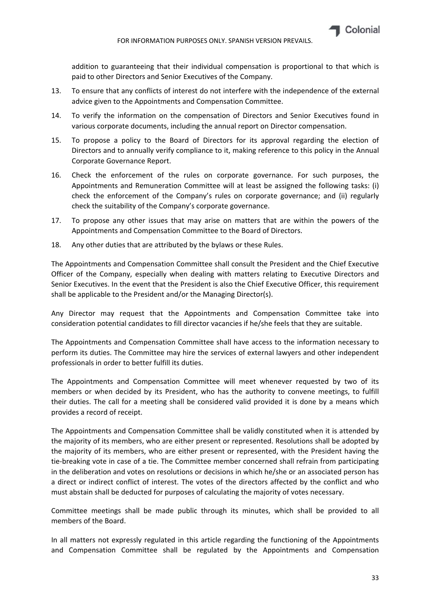

addition to guaranteeing that their individual compensation is proportional to that which is paid to other Directors and Senior Executives of the Company.

- 13. To ensure that any conflicts of interest do not interfere with the independence of the external advice given to the Appointments and Compensation Committee.
- 14. To verify the information on the compensation of Directors and Senior Executives found in various corporate documents, including the annual report on Director compensation.
- 15. To propose a policy to the Board of Directors for its approval regarding the election of Directors and to annually verify compliance to it, making reference to this policy in the Annual Corporate Governance Report.
- 16. Check the enforcement of the rules on corporate governance. For such purposes, the Appointments and Remuneration Committee will at least be assigned the following tasks: (i) check the enforcement of the Company's rules on corporate governance; and (ii) regularly check the suitability of the Company's corporate governance.
- 17. To propose any other issues that may arise on matters that are within the powers of the Appointments and Compensation Committee to the Board of Directors.
- 18. Any other duties that are attributed by the bylaws or these Rules.

The Appointments and Compensation Committee shall consult the President and the Chief Executive Officer of the Company, especially when dealing with matters relating to Executive Directors and Senior Executives. In the event that the President is also the Chief Executive Officer, this requirement shall be applicable to the President and/or the Managing Director(s).

Any Director may request that the Appointments and Compensation Committee take into consideration potential candidates to fill director vacancies if he/she feels that they are suitable.

The Appointments and Compensation Committee shall have access to the information necessary to perform its duties. The Committee may hire the services of external lawyers and other independent professionals in order to better fulfill its duties.

The Appointments and Compensation Committee will meet whenever requested by two of its members or when decided by its President, who has the authority to convene meetings, to fulfill their duties. The call for a meeting shall be considered valid provided it is done by a means which provides a record of receipt.

The Appointments and Compensation Committee shall be validly constituted when it is attended by the majority of its members, who are either present or represented. Resolutions shall be adopted by the majority of its members, who are either present or represented, with the President having the tie‐breaking vote in case of a tie. The Committee member concerned shall refrain from participating in the deliberation and votes on resolutions or decisions in which he/she or an associated person has a direct or indirect conflict of interest. The votes of the directors affected by the conflict and who must abstain shall be deducted for purposes of calculating the majority of votes necessary.

Committee meetings shall be made public through its minutes, which shall be provided to all members of the Board.

In all matters not expressly regulated in this article regarding the functioning of the Appointments and Compensation Committee shall be regulated by the Appointments and Compensation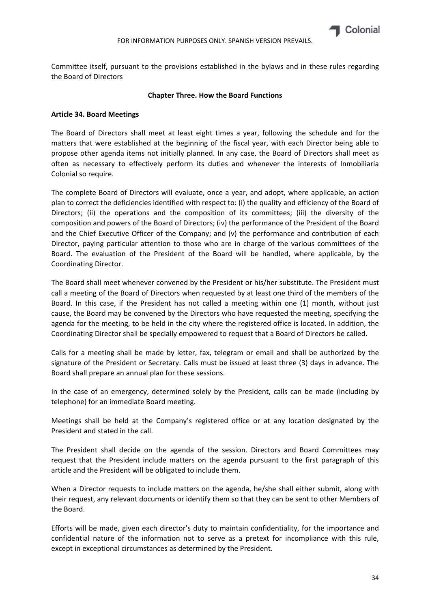

Committee itself, pursuant to the provisions established in the bylaws and in these rules regarding the Board of Directors

#### **Chapter Three. How the Board Functions**

#### **Article 34. Board Meetings**

The Board of Directors shall meet at least eight times a year, following the schedule and for the matters that were established at the beginning of the fiscal year, with each Director being able to propose other agenda items not initially planned. In any case, the Board of Directors shall meet as often as necessary to effectively perform its duties and whenever the interests of Inmobiliaria Colonial so require.

The complete Board of Directors will evaluate, once a year, and adopt, where applicable, an action plan to correct the deficiencies identified with respect to: (i) the quality and efficiency of the Board of Directors; (ii) the operations and the composition of its committees; (iii) the diversity of the composition and powers of the Board of Directors; (iv) the performance of the President of the Board and the Chief Executive Officer of the Company; and (v) the performance and contribution of each Director, paying particular attention to those who are in charge of the various committees of the Board. The evaluation of the President of the Board will be handled, where applicable, by the Coordinating Director.

The Board shall meet whenever convened by the President or his/her substitute. The President must call a meeting of the Board of Directors when requested by at least one third of the members of the Board. In this case, if the President has not called a meeting within one (1) month, without just cause, the Board may be convened by the Directors who have requested the meeting, specifying the agenda for the meeting, to be held in the city where the registered office is located. In addition, the Coordinating Director shall be specially empowered to request that a Board of Directors be called.

Calls for a meeting shall be made by letter, fax, telegram or email and shall be authorized by the signature of the President or Secretary. Calls must be issued at least three (3) days in advance. The Board shall prepare an annual plan for these sessions.

In the case of an emergency, determined solely by the President, calls can be made (including by telephone) for an immediate Board meeting.

Meetings shall be held at the Company's registered office or at any location designated by the President and stated in the call.

The President shall decide on the agenda of the session. Directors and Board Committees may request that the President include matters on the agenda pursuant to the first paragraph of this article and the President will be obligated to include them.

When a Director requests to include matters on the agenda, he/she shall either submit, along with their request, any relevant documents or identify them so that they can be sent to other Members of the Board.

Efforts will be made, given each director's duty to maintain confidentiality, for the importance and confidential nature of the information not to serve as a pretext for incompliance with this rule, except in exceptional circumstances as determined by the President.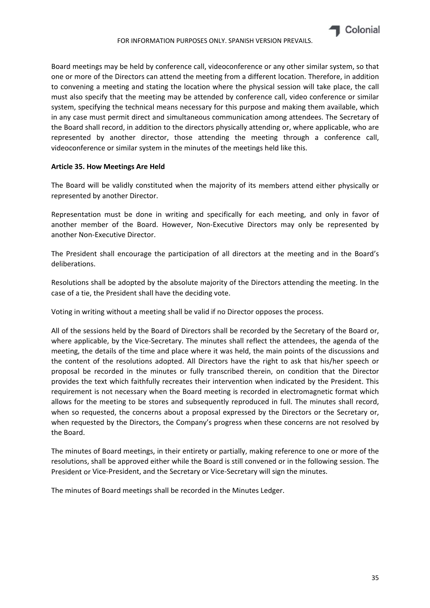Board meetings may be held by conference call, videoconference or any other similar system, so that one or more of the Directors can attend the meeting from a different location. Therefore, in addition to convening a meeting and stating the location where the physical session will take place, the call must also specify that the meeting may be attended by conference call, video conference or similar system, specifying the technical means necessary for this purpose and making them available, which in any case must permit direct and simultaneous communication among attendees. The Secretary of the Board shall record, in addition to the directors physically attending or, where applicable, who are represented by another director, those attending the meeting through a conference call, videoconference or similar system in the minutes of the meetings held like this.

## **Article 35. How Meetings Are Held**

The Board will be validly constituted when the majority of its members attend either physically or represented by another Director.

Representation must be done in writing and specifically for each meeting, and only in favor of another member of the Board. However, Non‐Executive Directors may only be represented by another Non‐Executive Director.

The President shall encourage the participation of all directors at the meeting and in the Board's deliberations.

Resolutions shall be adopted by the absolute majority of the Directors attending the meeting. In the case of a tie, the President shall have the deciding vote.

Voting in writing without a meeting shall be valid if no Director opposes the process.

All of the sessions held by the Board of Directors shall be recorded by the Secretary of the Board or, where applicable, by the Vice-Secretary. The minutes shall reflect the attendees, the agenda of the meeting, the details of the time and place where it was held, the main points of the discussions and the content of the resolutions adopted. All Directors have the right to ask that his/her speech or proposal be recorded in the minutes or fully transcribed therein, on condition that the Director provides the text which faithfully recreates their intervention when indicated by the President. This requirement is not necessary when the Board meeting is recorded in electromagnetic format which allows for the meeting to be stores and subsequently reproduced in full. The minutes shall record, when so requested, the concerns about a proposal expressed by the Directors or the Secretary or, when requested by the Directors, the Company's progress when these concerns are not resolved by the Board.

The minutes of Board meetings, in their entirety or partially, making reference to one or more of the resolutions, shall be approved either while the Board is still convened or in the following session. The President or Vice‐President, and the Secretary or Vice‐Secretary will sign the minutes.

The minutes of Board meetings shall be recorded in the Minutes Ledger.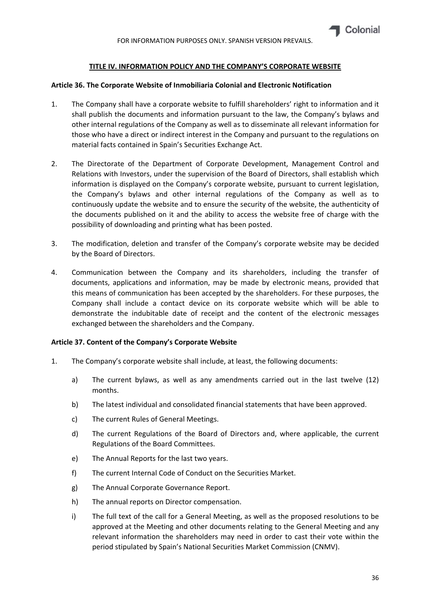## **TITLE IV. INFORMATION POLICY AND THE COMPANY'S CORPORATE WEBSITE**

#### **Article 36. The Corporate Website of Inmobiliaria Colonial and Electronic Notification**

- 1. The Company shall have a corporate website to fulfill shareholders' right to information and it shall publish the documents and information pursuant to the law, the Company's bylaws and other internal regulations of the Company as well as to disseminate all relevant information for those who have a direct or indirect interest in the Company and pursuant to the regulations on material facts contained in Spain's Securities Exchange Act.
- 2. The Directorate of the Department of Corporate Development, Management Control and Relations with Investors, under the supervision of the Board of Directors, shall establish which information is displayed on the Company's corporate website, pursuant to current legislation, the Company's bylaws and other internal regulations of the Company as well as to continuously update the website and to ensure the security of the website, the authenticity of the documents published on it and the ability to access the website free of charge with the possibility of downloading and printing what has been posted.
- 3. The modification, deletion and transfer of the Company's corporate website may be decided by the Board of Directors.
- 4. Communication between the Company and its shareholders, including the transfer of documents, applications and information, may be made by electronic means, provided that this means of communication has been accepted by the shareholders. For these purposes, the Company shall include a contact device on its corporate website which will be able to demonstrate the indubitable date of receipt and the content of the electronic messages exchanged between the shareholders and the Company.

#### **Article 37. Content of the Company's Corporate Website**

- 1. The Company's corporate website shall include, at least, the following documents:
	- a) The current bylaws, as well as any amendments carried out in the last twelve (12) months.
	- b) The latest individual and consolidated financial statements that have been approved.
	- c) The current Rules of General Meetings.
	- d) The current Regulations of the Board of Directors and, where applicable, the current Regulations of the Board Committees.
	- e) The Annual Reports for the last two years.
	- f) The current Internal Code of Conduct on the Securities Market.
	- g) The Annual Corporate Governance Report.
	- h) The annual reports on Director compensation.
	- i) The full text of the call for a General Meeting, as well as the proposed resolutions to be approved at the Meeting and other documents relating to the General Meeting and any relevant information the shareholders may need in order to cast their vote within the period stipulated by Spain's National Securities Market Commission (CNMV).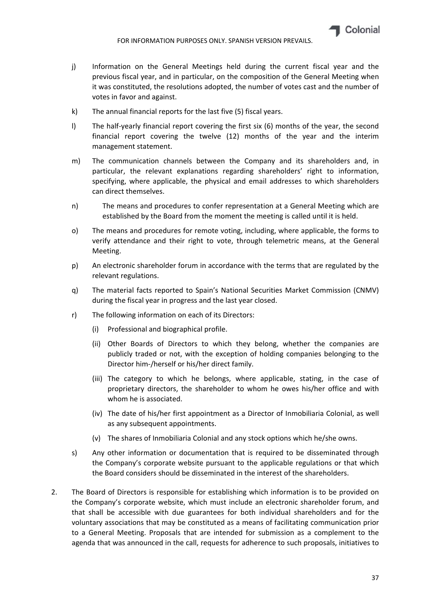- j) Information on the General Meetings held during the current fiscal year and the previous fiscal year, and in particular, on the composition of the General Meeting when it was constituted, the resolutions adopted, the number of votes cast and the number of votes in favor and against.
- k) The annual financial reports for the last five (5) fiscal years.
- l) The half‐yearly financial report covering the first six (6) months of the year, the second financial report covering the twelve (12) months of the year and the interim management statement.
- m) The communication channels between the Company and its shareholders and, in particular, the relevant explanations regarding shareholders' right to information, specifying, where applicable, the physical and email addresses to which shareholders can direct themselves.
- n) The means and procedures to confer representation at a General Meeting which are established by the Board from the moment the meeting is called until it is held.
- o) The means and procedures for remote voting, including, where applicable, the forms to verify attendance and their right to vote, through telemetric means, at the General Meeting.
- p) An electronic shareholder forum in accordance with the terms that are regulated by the relevant regulations.
- q) The material facts reported to Spain's National Securities Market Commission (CNMV) during the fiscal year in progress and the last year closed.
- r) The following information on each of its Directors:
	- (i) Professional and biographical profile.
	- (ii) Other Boards of Directors to which they belong, whether the companies are publicly traded or not, with the exception of holding companies belonging to the Director him‐/herself or his/her direct family.
	- (iii) The category to which he belongs, where applicable, stating, in the case of proprietary directors, the shareholder to whom he owes his/her office and with whom he is associated.
	- (iv) The date of his/her first appointment as a Director of Inmobiliaria Colonial, as well as any subsequent appointments.
	- (v) The shares of Inmobiliaria Colonial and any stock options which he/she owns.
- s) Any other information or documentation that is required to be disseminated through the Company's corporate website pursuant to the applicable regulations or that which the Board considers should be disseminated in the interest of the shareholders.
- 2. The Board of Directors is responsible for establishing which information is to be provided on the Company's corporate website, which must include an electronic shareholder forum, and that shall be accessible with due guarantees for both individual shareholders and for the voluntary associations that may be constituted as a means of facilitating communication prior to a General Meeting. Proposals that are intended for submission as a complement to the agenda that was announced in the call, requests for adherence to such proposals, initiatives to